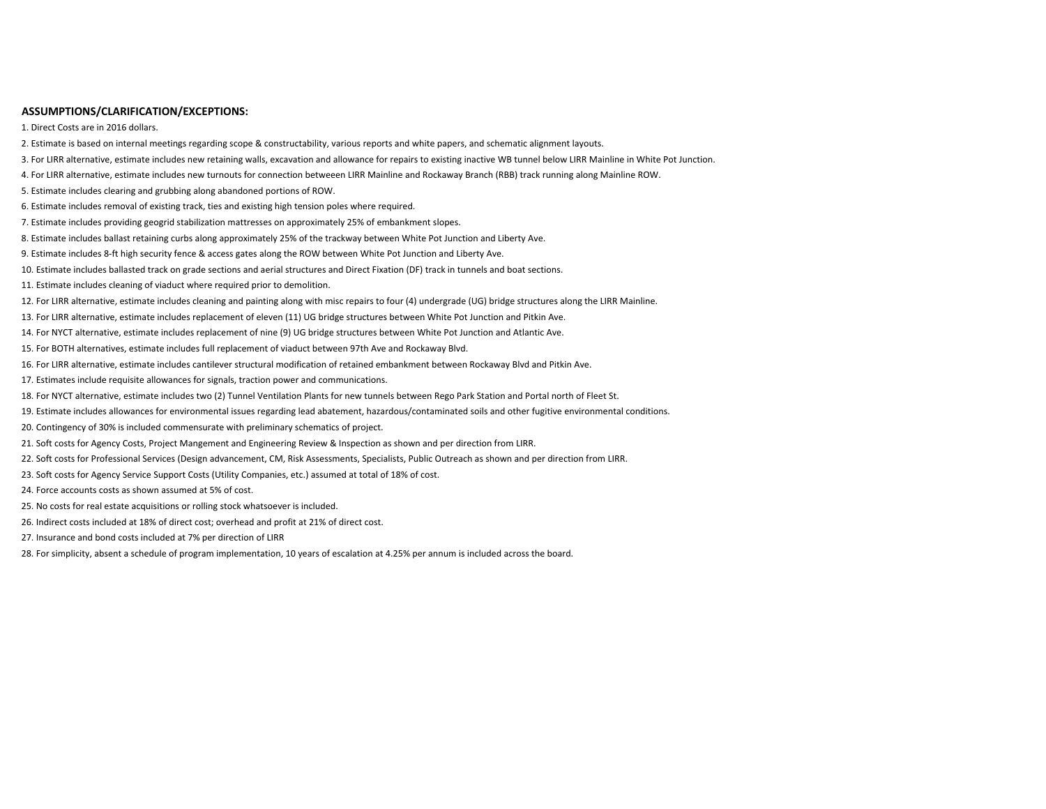## **ASSUMPTIONS/CLARIFICATION/EXCEPTIONS:**

1. Direct Costs are in 2016 dollars.

- 2. Estimate is based on internal meetings regarding scope & constructability, various reports and white papers, and schematic alignment layouts.
- 3. For LIRR alternative, estimate includes new retaining walls, excavation and allowance for repairs to existing inactive WB tunnel below LIRR Mainline in White Pot Junction.
- 4. For LIRR alternative, estimate includes new turnouts for connection betweeen LIRR Mainline and Rockaway Branch (RBB) track running along Mainline ROW.
- 5. Estimate includes clearing and grubbing along abandoned portions of ROW.
- 6. Estimate includes removal of existing track, ties and existing high tension poles where required.
- 7. Estimate includes providing geogrid stabilization mattresses on approximately 25% of embankment slopes.
- 8. Estimate includes ballast retaining curbs along approximately 25% of the trackway between White Pot Junction and Liberty Ave.
- 9. Estimate includes 8‐ft high security fence & access gates along the ROW between White Pot Junction and Liberty Ave.
- 10. Estimate includes ballasted track on grade sections and aerial structures and Direct Fixation (DF) track in tunnels and boat sections.
- 11. Estimate includes cleaning of viaduct where required prior to demolition.
- 12. For LIRR alternative, estimate includes cleaning and painting along with misc repairs to four (4) undergrade (UG) bridge structures along the LIRR Mainline.
- 13. For LIRR alternative, estimate includes replacement of eleven (11) UG bridge structures between White Pot Junction and Pitkin Ave.
- 14. For NYCT alternative, estimate includes replacement of nine (9) UG bridge structures between White Pot Junction and Atlantic Ave.
- 15. For BOTH alternatives, estimate includes full replacement of viaduct between 97th Ave and Rockaway Blvd.
- 16. For LIRR alternative, estimate includes cantilever structural modification of retained embankment between Rockaway Blvd and Pitkin Ave.
- 17. Estimates include requisite allowances for signals, traction power and communications.
- 18. For NYCT alternative, estimate includes two (2) Tunnel Ventilation Plants for new tunnels between Rego Park Station and Portal north of Fleet St.
- 19. Estimate includes allowances for environmental issues regarding lead abatement, hazardous/contaminated soils and other fugitive environmental conditions.
- 20. Contingency of 30% is included commensurate with preliminary schematics of project.
- 21. Soft costs for Agency Costs, Project Mangement and Engineering Review & Inspection as shown and per direction from LIRR.
- 22. Soft costs for Professional Services (Design advancement, CM, Risk Assessments, Specialists, Public Outreach as shown and per direction from LIRR.
- 23. Soft costs for Agency Service Support Costs (Utility Companies, etc.) assumed at total of 18% of cost.
- 24. Force accounts costs as shown assumed at 5% of cost.
- 25. No costs for real estate acquisitions or rolling stock whatsoever is included.
- 26. Indirect costs included at 18% of direct cost; overhead and profit at 21% of direct cost.
- 27. Insurance and bond costs included at 7% per direction of LIRR
- 28. For simplicity, absent <sup>a</sup> schedule of program implementation, 10 years of escalation at 4.25% per annum is included across the board.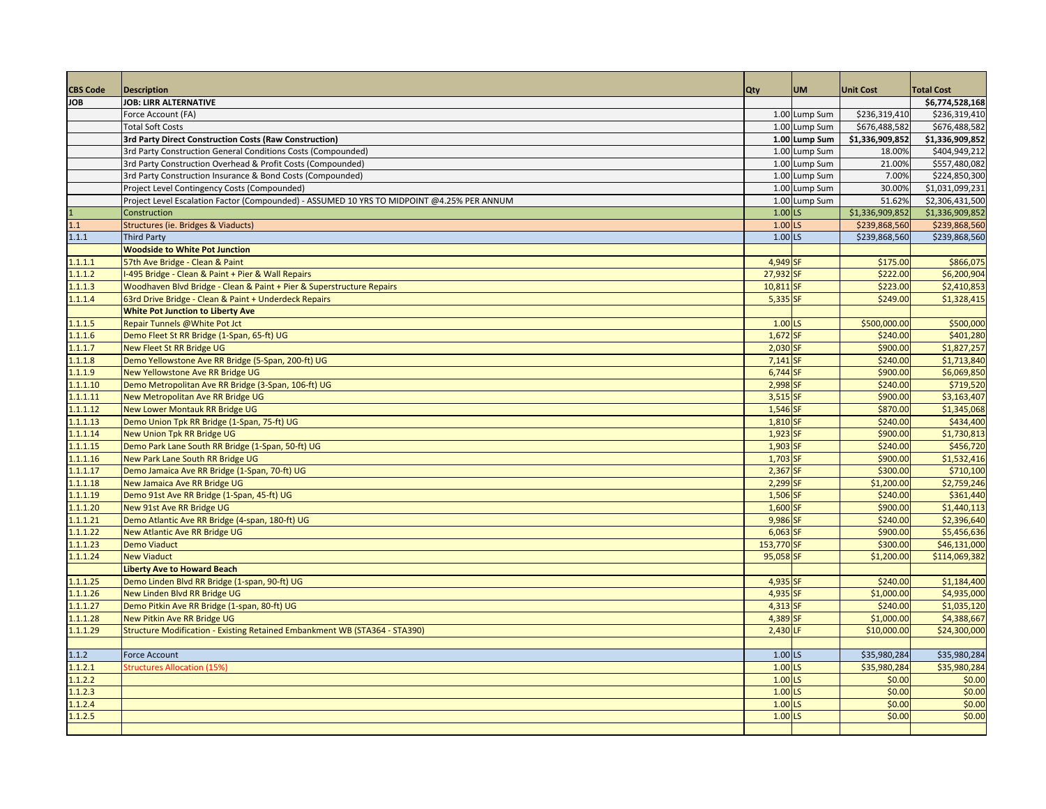| <b>CBS Code</b>      | <b>Description</b>                                                                         | <b>Qty</b>             | <b>UM</b>     | <b>Unit Cost</b>     | <b>Total Cost</b>        |
|----------------------|--------------------------------------------------------------------------------------------|------------------------|---------------|----------------------|--------------------------|
| <b>JOB</b>           | <b>JOB: LIRR ALTERNATIVE</b>                                                               |                        |               |                      | \$6,774,528,168          |
|                      | Force Account (FA)                                                                         |                        | 1.00 Lump Sum | \$236,319,410        | \$236,319,410            |
|                      | <b>Total Soft Costs</b>                                                                    |                        | 1.00 Lump Sum | \$676,488,582        | \$676,488,582            |
|                      | 3rd Party Direct Construction Costs (Raw Construction)                                     |                        | 1.00 Lump Sum | \$1,336,909,852      | \$1,336,909,852          |
|                      | 3rd Party Construction General Conditions Costs (Compounded)                               |                        | 1.00 Lump Sum | 18.00%               | \$404,949,212            |
|                      | 3rd Party Construction Overhead & Profit Costs (Compounded)                                |                        | 1.00 Lump Sum | 21.00%               | \$557,480,082            |
|                      | 3rd Party Construction Insurance & Bond Costs (Compounded)                                 |                        | 1.00 Lump Sum | 7.00%                | \$224,850,300            |
|                      | Project Level Contingency Costs (Compounded)                                               |                        | 1.00 Lump Sum | 30.00%               | \$1,031,099,231          |
|                      | Project Level Escalation Factor (Compounded) - ASSUMED 10 YRS TO MIDPOINT @4.25% PER ANNUM |                        | 1.00 Lump Sum | 51.62%               | \$2,306,431,500          |
|                      | Construction                                                                               | $1.00$ <sub>LS</sub>   |               | \$1,336,909,852      | \$1,336,909,852          |
| 1.1                  | Structures (ie. Bridges & Viaducts)                                                        | $1.00$ <sub>LS</sub>   |               | \$239,868,560        | \$239,868,560            |
| 1.1.1                | <b>Third Party</b>                                                                         | 1.00 LS                |               | \$239,868,560        | \$239,868,560            |
|                      | <b>Woodside to White Pot Junction</b>                                                      |                        |               |                      |                          |
| 1.1.1.1              | 57th Ave Bridge - Clean & Paint                                                            | 4,949 SF               |               | \$175.00             | \$866,075                |
| 1.1.1.2              | -495 Bridge - Clean & Paint + Pier & Wall Repairs                                          | 27,932 SF              |               | \$222.00             | \$6,200,904              |
| 1.1.1.3              | Woodhaven Blvd Bridge - Clean & Paint + Pier & Superstructure Repairs                      | 10,811 SF              |               | \$223.00             | \$2,410,853              |
| 1.1.1.4              | 63rd Drive Bridge - Clean & Paint + Underdeck Repairs                                      | $5,335$ SF             |               | \$249.00             | \$1,328,415              |
|                      | <b>White Pot Junction to Liberty Ave</b>                                                   |                        |               |                      |                          |
| 1.1.1.5              | Repair Tunnels @White Pot Jct                                                              | 1.00 LS                |               | \$500,000.00         | \$500,000                |
| 1.1.1.6              | Demo Fleet St RR Bridge (1-Span, 65-ft) UG                                                 | 1,672 SF               |               | \$240.00             | \$401,280                |
| 1.1.1.7              | <b>New Fleet St RR Bridge UG</b>                                                           | 2,030 SF               |               | \$900.00             | \$1,827,257              |
| 1.1.1.8              | Demo Yellowstone Ave RR Bridge (5-Span, 200-ft) UG                                         | $7,141$ SF             |               | \$240.00             | \$1,713,840              |
| 1.1.1.9              | New Yellowstone Ave RR Bridge UG                                                           | 6,744 SF               |               | \$900.00             | \$6,069,850              |
| 1.1.1.10             | Demo Metropolitan Ave RR Bridge (3-Span, 106-ft) UG                                        | 2,998 SF               |               | \$240.00<br>\$900.00 | \$719,520                |
| 1.1.1.11             | New Metropolitan Ave RR Bridge UG                                                          | 3,515 SF               |               |                      | \$3,163,407              |
| 1.1.1.12<br>1.1.1.13 | <b>New Lower Montauk RR Bridge UG</b>                                                      | $1,546$ SF<br>1,810 SF |               | \$870.00<br>\$240.00 | \$1,345,068<br>\$434,400 |
| 1.1.1.14             | Demo Union Tpk RR Bridge (1-Span, 75-ft) UG<br><b>New Union Tpk RR Bridge UG</b>           | 1,923 SF               |               | \$900.00             | \$1,730,813              |
| 1.1.1.15             | Demo Park Lane South RR Bridge (1-Span, 50-ft) UG                                          | $1,903$ SF             |               | \$240.00             | \$456,720                |
| 1.1.1.16             | New Park Lane South RR Bridge UG                                                           | $1,703$ SF             |               | \$900.00             | \$1,532,416              |
| 1.1.1.17             | Demo Jamaica Ave RR Bridge (1-Span, 70-ft) UG                                              | $2,367$ SF             |               | \$300.00             | \$710,100                |
| 1.1.1.18             | New Jamaica Ave RR Bridge UG                                                               | 2,299 SF               |               | \$1,200.00           | \$2,759,246              |
| 1.1.1.19             | Demo 91st Ave RR Bridge (1-Span, 45-ft) UG                                                 | 1,506 SF               |               | \$240.00             | \$361,440                |
| 1.1.1.20             | New 91st Ave RR Bridge UG                                                                  | 1,600 SF               |               | \$900.00             | \$1,440,113              |
| 1.1.1.21             | Demo Atlantic Ave RR Bridge (4-span, 180-ft) UG                                            | 9,986 SF               |               | \$240.00             | \$2,396,640              |
| 1.1.1.22             | New Atlantic Ave RR Bridge UG                                                              | $6,063$ SF             |               | \$900.00             | \$5,456,636              |
| 1.1.1.23             | <b>Demo Viaduct</b>                                                                        | 153,770 SF             |               | \$300.00             | \$46,131,000             |
| 1.1.1.24             | <b>New Viaduct</b>                                                                         | 95,058 SF              |               | \$1,200.00           | \$114,069,382            |
|                      | <b>Liberty Ave to Howard Beach</b>                                                         |                        |               |                      |                          |
| 1.1.1.25             | Demo Linden Blvd RR Bridge (1-span, 90-ft) UG                                              | 4,935 SF               |               | \$240.00             | 51,184,400               |
| 1.1.1.26             | New Linden Blvd RR Bridge UG                                                               | 4,935 SF               |               | \$1,000.00           | \$4,935,000              |
| 1.1.1.27             | Demo Pitkin Ave RR Bridge (1-span, 80-ft) UG                                               | $4,313$ SF             |               | \$240.00             | \$1,035,120              |
| 1.1.1.28             | New Pitkin Ave RR Bridge UG                                                                | 4,389 SF               |               | \$1,000.00           | \$4,388,667              |
| 1.1.1.29             | Structure Modification - Existing Retained Embankment WB (STA364 - STA390)                 | 2,430 LF               |               | \$10,000.00          | \$24,300,000             |
|                      |                                                                                            |                        |               |                      |                          |
| 1.1.2                | <b>Force Account</b>                                                                       | 1.00 LS                |               | \$35,980,284         | \$35,980,284             |
| 1.1.2.1              | <b>Structures Allocation (15%</b>                                                          | $1.00$ <sub>LS</sub>   |               | \$35,980,284         | \$35,980,284             |
| 1.1.2.2              |                                                                                            | $1.00$ <sub>LS</sub>   |               | \$0.00               | \$0.00                   |
| 1.1.2.3              |                                                                                            | $1.00$ <sub>LS</sub>   |               | \$0.00               | \$0.00                   |
| 1.1.2.4              |                                                                                            | $1.00$ <sub>LS</sub>   |               | \$0.00               | \$0.00                   |
| 1.1.2.5              |                                                                                            | $1.00$ LS              |               | \$0.00               | \$0.00                   |
|                      |                                                                                            |                        |               |                      |                          |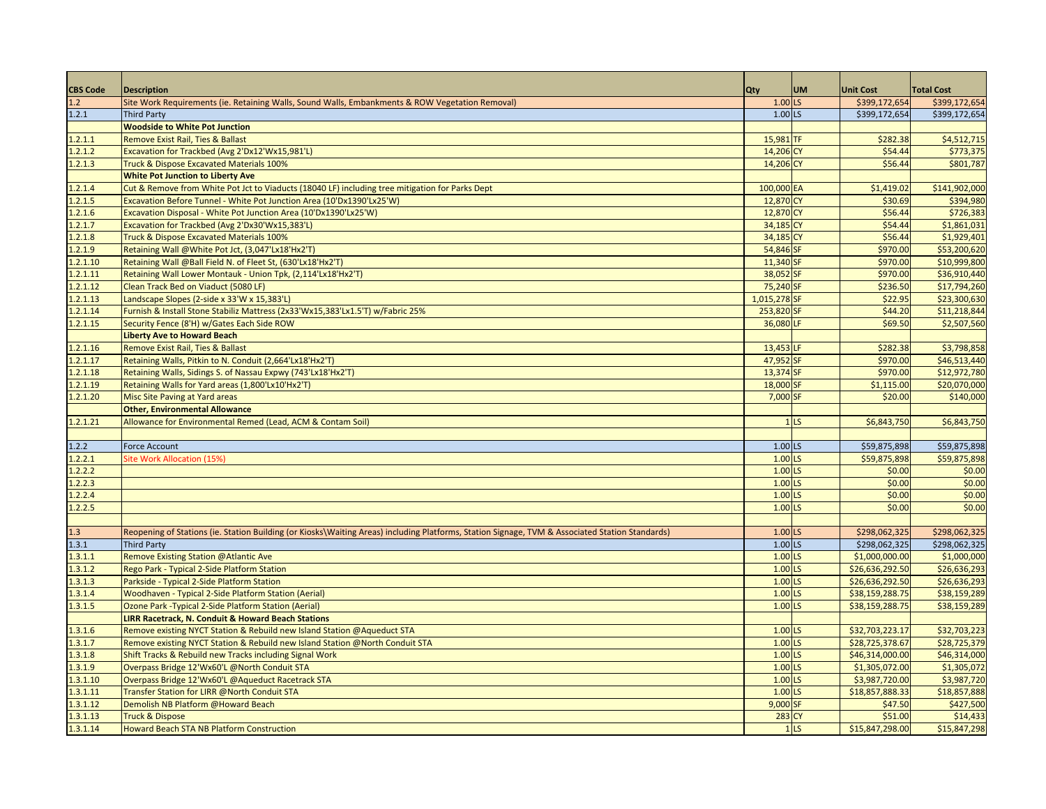| <b>CBS Code</b> | <b>Description</b>                                                                                                                              | Qty                  | <b>UM</b>       | <b>Unit Cost</b> | <b>Total Cost</b> |
|-----------------|-------------------------------------------------------------------------------------------------------------------------------------------------|----------------------|-----------------|------------------|-------------------|
| 1.2             | Site Work Requirements (ie. Retaining Walls, Sound Walls, Embankments & ROW Vegetation Removal)                                                 | $1.00$ LS            |                 | \$399,172,654    | \$399,172,654     |
| 1.2.1           | <b>Third Party</b>                                                                                                                              | $1.00$ <sub>LS</sub> |                 | \$399,172,654    | \$399,172,654     |
|                 | <b>Woodside to White Pot Junction</b>                                                                                                           |                      |                 |                  |                   |
| 1.2.1.1         | Remove Exist Rail, Ties & Ballast                                                                                                               | 15,981 TF            |                 | \$282.38         | \$4,512,715       |
| 1.2.1.2         | Excavation for Trackbed (Avg 2'Dx12'Wx15,981'L)                                                                                                 | 14,206 CY            |                 | \$54.44          | \$773,375         |
| 1.2.1.3         | Truck & Dispose Excavated Materials 100%                                                                                                        | 14,206 CY            |                 | \$56.44          | \$801,787         |
|                 | <b>White Pot Junction to Liberty Ave</b>                                                                                                        |                      |                 |                  |                   |
| 1.2.1.4         | Cut & Remove from White Pot Jct to Viaducts (18040 LF) including tree mitigation for Parks Dept                                                 | 100,000 EA           |                 | \$1,419.02       | \$141,902,000     |
| 1.2.1.5         | Excavation Before Tunnel - White Pot Junction Area (10'Dx1390'Lx25'W)                                                                           | 12,870 CY            |                 | \$30.69          | \$394,980         |
| 1.2.1.6         | Excavation Disposal - White Pot Junction Area (10'Dx1390'Lx25'W)                                                                                | 12,870 CY            |                 | \$56.44          | \$726,383         |
| 1.2.1.7         | Excavation for Trackbed (Avg 2'Dx30'Wx15,383'L)                                                                                                 | 34,185 CY            |                 | \$54.44          | \$1,861,031       |
| 1.2.1.8         | Truck & Dispose Excavated Materials 100%                                                                                                        | 34,185 CY            |                 | \$56.44          | \$1,929,401       |
| 1.2.1.9         | Retaining Wall @White Pot Jct, (3,047'Lx18'Hx2'T)                                                                                               | 54,846 SF            |                 | \$970.00         | \$53,200,620      |
| 1.2.1.10        | Retaining Wall @Ball Field N. of Fleet St, (630'Lx18'Hx2'T)                                                                                     | 11,340 SF            |                 | \$970.00         | \$10,999,800      |
| 1.2.1.11        | Retaining Wall Lower Montauk - Union Tpk, (2,114'Lx18'Hx2'T)                                                                                    | 38,052 SF            |                 | \$970.00         | \$36,910,440      |
| 1.2.1.12        | Clean Track Bed on Viaduct (5080 LF)                                                                                                            | 75,240 SF            |                 | \$236.50         | \$17,794,260      |
| 1.2.1.13        | Landscape Slopes (2-side x 33'W x 15,383'L)                                                                                                     | 1,015,278 SF         |                 | \$22.95          | \$23,300,630      |
| 1.2.1.14        | Furnish & Install Stone Stabiliz Mattress (2x33'Wx15,383'Lx1.5'T) w/Fabric 25%                                                                  | 253,820 SF           |                 | \$44.20          | \$11,218,844      |
| 1.2.1.15        | Security Fence (8'H) w/Gates Each Side ROW                                                                                                      | 36,080 LF            |                 | \$69.50          | \$2,507,560       |
|                 | <b>Liberty Ave to Howard Beach</b>                                                                                                              |                      |                 |                  |                   |
| 1.2.1.16        | Remove Exist Rail, Ties & Ballast                                                                                                               | 13,453 LF            |                 | \$282.38         | \$3,798,858       |
| 1.2.1.17        | Retaining Walls, Pitkin to N. Conduit (2,664'Lx18'Hx2'T)                                                                                        | 47,952 SF            |                 | \$970.00         | \$46,513,440      |
| 1.2.1.18        | Retaining Walls, Sidings S. of Nassau Expwy (743'Lx18'Hx2'T)                                                                                    | 13,374 SF            |                 | \$970.00         | \$12,972,780      |
| 1.2.1.19        | Retaining Walls for Yard areas (1,800'Lx10'Hx2'T)                                                                                               | 18,000 SF            |                 | \$1,115.00       | \$20,070,000      |
| 1.2.1.20        | Misc Site Paving at Yard areas                                                                                                                  | 7,000 SF             |                 | \$20.00          | \$140,000         |
|                 | <b>Other, Environmental Allowance</b>                                                                                                           |                      |                 |                  |                   |
| 1.2.1.21        | Allowance for Environmental Remed (Lead, ACM & Contam Soil)                                                                                     |                      | 1 <sub>LS</sub> | \$6,843,750      | \$6,843,750       |
|                 |                                                                                                                                                 |                      |                 |                  |                   |
| 1.2.2           | <b>Force Account</b>                                                                                                                            | $1.00$ LS            |                 | \$59,875,898     | \$59,875,898      |
| 1.2.2.1         | Site Work Allocation (15%)                                                                                                                      | 1.00 LS              |                 | \$59,875,898     | \$59,875,898      |
| 1.2.2.2         |                                                                                                                                                 | 1.00 LS              |                 | \$0.00           | \$0.00            |
| 1.2.2.3         |                                                                                                                                                 | $1.00$ <sub>LS</sub> |                 | \$0.00           | \$0.00            |
| 1.2.2.4         |                                                                                                                                                 | 1.00 LS              |                 | \$0.00           | \$0.00            |
| 1.2.2.5         |                                                                                                                                                 | 1.00 LS              |                 | \$0.00           | \$0.00            |
|                 |                                                                                                                                                 |                      |                 |                  |                   |
| 1.3             | Reopening of Stations (ie. Station Building (or Kiosks\Waiting Areas) including Platforms, Station Signage, TVM & Associated Station Standards) | 1.00 LS              |                 | \$298,062,325    | \$298,062,325     |
| 1.3.1           | <b>Third Party</b>                                                                                                                              | 1.00 LS              |                 | \$298,062,325    | \$298,062,325     |
| 1.3.1.1         | Remove Existing Station @Atlantic Ave                                                                                                           | 1.00 LS              |                 | \$1,000,000.00   | \$1,000,000       |
| 1.3.1.2         | Rego Park - Typical 2-Side Platform Station                                                                                                     | $1.00$ <sub>LS</sub> |                 | \$26,636,292.50  | \$26,636,293      |
| 1.3.1.3         | Parkside - Typical 2-Side Platform Station                                                                                                      | $1.00$ LS            |                 | \$26,636,292.50  | \$26,636,293      |
| 1.3.1.4         | Woodhaven - Typical 2-Side Platform Station (Aerial)                                                                                            | 1.00 LS              |                 | \$38,159,288.75  | \$38,159,289      |
| 1.3.1.5         | Ozone Park - Typical 2-Side Platform Station (Aerial)                                                                                           | 1.00 LS              |                 | \$38,159,288.75  | \$38,159,289      |
|                 | <b>LIRR Racetrack, N. Conduit &amp; Howard Beach Stations</b>                                                                                   |                      |                 |                  |                   |
| 1.3.1.6         | Remove existing NYCT Station & Rebuild new Island Station @Aqueduct STA                                                                         | $1.00$ LS            |                 | \$32,703,223.17  | \$32,703,223      |
| 1.3.1.7         | Remove existing NYCT Station & Rebuild new Island Station @North Conduit STA                                                                    | $1.00$ <sub>LS</sub> |                 | \$28,725,378.67  | \$28,725,379      |
| 1.3.1.8         | Shift Tracks & Rebuild new Tracks including Signal Work                                                                                         | 1.00 LS              |                 | \$46,314,000.00  | \$46,314,000      |
| 1.3.1.9         | Overpass Bridge 12'Wx60'L @North Conduit STA                                                                                                    | $1.00$ <sub>LS</sub> |                 | \$1,305,072.00   | \$1,305,072       |
| 1.3.1.10        | Overpass Bridge 12'Wx60'L @Aqueduct Racetrack STA                                                                                               | $1.00$ LS            |                 | \$3,987,720.00   | \$3,987,720       |
| 1.3.1.11        | Transfer Station for LIRR @North Conduit STA                                                                                                    | 1.00 LS              |                 | \$18,857,888.33  | \$18,857,888      |
| 1.3.1.12        | Demolish NB Platform @Howard Beach                                                                                                              | 9,000 SF             |                 | \$47.50          | \$427,500         |
| 1.3.1.13        | <b>Truck &amp; Dispose</b>                                                                                                                      | 283 CY               |                 | \$51.00          | \$14,433          |
| 1.3.1.14        | <b>Howard Beach STA NB Platform Construction</b>                                                                                                |                      | 1 <sub>LS</sub> | \$15,847,298.00  | \$15,847,298      |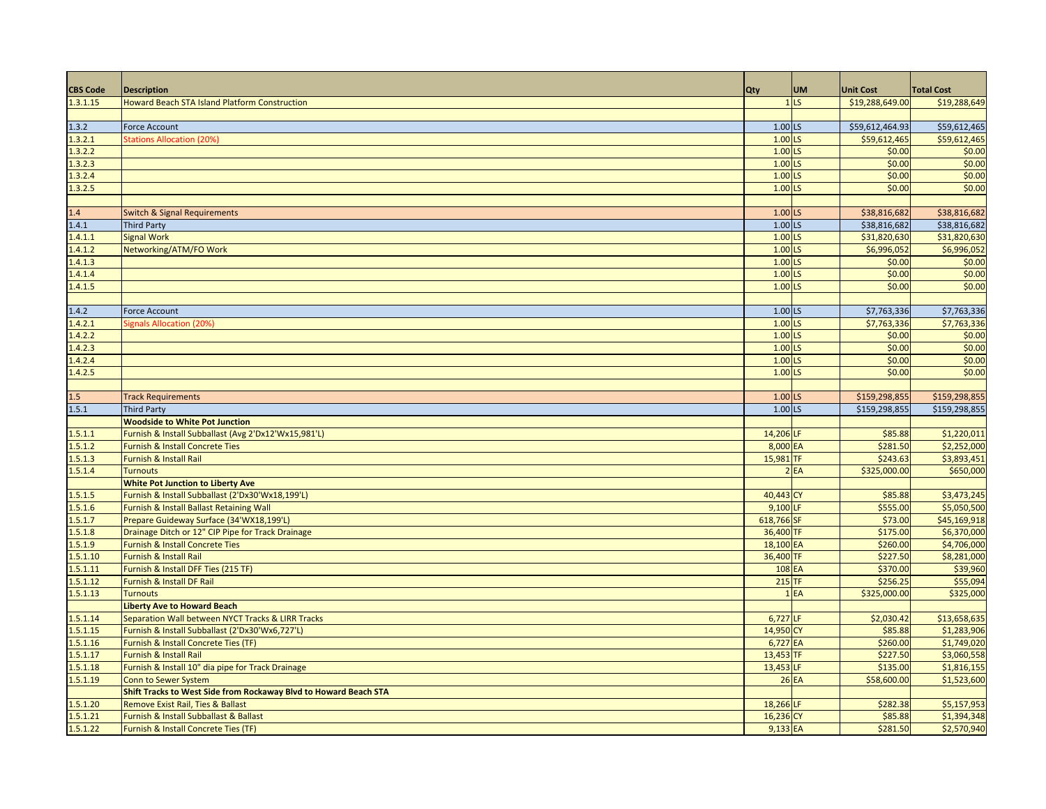| <b>CBS Code</b> | <b>Description</b>                                               | <b>Qty</b>           | <b>UM</b>       | <b>Unit Cost</b> | <b>Total Cost</b> |
|-----------------|------------------------------------------------------------------|----------------------|-----------------|------------------|-------------------|
| 1.3.1.15        | <b>Howard Beach STA Island Platform Construction</b>             |                      | 1 <sub>LS</sub> | \$19,288,649.00  | \$19,288,649      |
|                 |                                                                  |                      |                 |                  |                   |
| 1.3.2           | <b>Force Account</b>                                             | $1.00$ LS            |                 | \$59,612,464.93  | \$59,612,465      |
| 1.3.2.1         | Stations Allocation (20%)                                        | $1.00$ LS            |                 | \$59,612,465     | \$59,612,465      |
| 1.3.2.2         |                                                                  | $1.00$ LS            |                 | \$0.00           | \$0.00            |
| 1.3.2.3         |                                                                  | $1.00$ <sub>LS</sub> |                 | \$0.00           | \$0.00            |
| 1.3.2.4         |                                                                  | $1.00$ LS            |                 | \$0.00           | \$0.00            |
| 1.3.2.5         |                                                                  | $1.00$ LS            |                 | \$0.00           | \$0.00            |
|                 |                                                                  |                      |                 |                  |                   |
| 1.4             | <b>Switch &amp; Signal Requirements</b>                          | $1.00$ LS            |                 | \$38,816,682     | \$38,816,682      |
| 1.4.1           | <b>Third Party</b>                                               | $1.00$ LS            |                 | \$38,816,682     | \$38,816,682      |
| 1.4.1.1         | <b>Signal Work</b>                                               | 1.00 LS              |                 | \$31,820,630     | \$31,820,630      |
| 1.4.1.2         | Networking/ATM/FO Work                                           | $1.00$ LS            |                 | \$6,996,052      | \$6,996,052       |
| 1.4.1.3         |                                                                  | $1.00$ LS            |                 | \$0.00           | \$0.00            |
| 1.4.1.4         |                                                                  | $1.00$ LS            |                 | \$0.00           | \$0.00            |
| 1.4.1.5         |                                                                  | $1.00$ LS            |                 | \$0.00           | \$0.00            |
|                 |                                                                  |                      |                 |                  |                   |
| 1.4.2           | <b>Force Account</b>                                             | 1.00 LS              |                 | \$7,763,336      | \$7,763,336       |
| 1.4.2.1         | <b>Signals Allocation (20%</b>                                   | $1.00$ LS            |                 | \$7,763,336      | \$7,763,336       |
| 1.4.2.2         |                                                                  | $1.00$ <sub>LS</sub> |                 | \$0.00           | \$0.00            |
| 1.4.2.3         |                                                                  | $1.00$ LS            |                 | \$0.00           | \$0.00            |
| 1.4.2.4         |                                                                  | $1.00$ LS            |                 | \$0.00           | \$0.00            |
| 1.4.2.5         |                                                                  | $1.00$ LS            |                 | \$0.00           | \$0.00            |
|                 |                                                                  |                      |                 |                  |                   |
| 1.5             | <b>Track Requirements</b>                                        | $1.00$ LS            |                 | \$159,298,855    | \$159,298,855     |
| 1.5.1           | <b>Third Party</b>                                               | $1.00$ LS            |                 | \$159,298,855    | \$159,298,855     |
|                 | <b>Woodside to White Pot Junction</b>                            |                      |                 |                  |                   |
| 1.5.1.1         | Furnish & Install Subballast (Avg 2'Dx12'Wx15,981'L)             | 14,206 LF            |                 | \$85.88          | \$1,220,011       |
| 1.5.1.2         | <b>Furnish &amp; Install Concrete Ties</b>                       | 8,000 EA             |                 | \$281.50         | \$2,252,000       |
| 1.5.1.3         | Furnish & Install Rail                                           | 15,981 TF            |                 | \$243.63         | \$3,893,451       |
| 1.5.1.4         | <b>Turnouts</b>                                                  |                      | 2EA             | \$325,000.00     | \$650,000         |
|                 | <b>White Pot Junction to Liberty Ave</b>                         |                      |                 |                  |                   |
| 1.5.1.5         | Furnish & Install Subballast (2'Dx30'Wx18,199'L)                 | 40,443 CY            |                 | \$85.88          | \$3,473,245       |
| 1.5.1.6         | Furnish & Install Ballast Retaining Wall                         | 9,100 LF             |                 | \$555.00         | \$5,050,500       |
| 1.5.1.7         | Prepare Guideway Surface (34'WX18,199'L)                         | 618,766 SF           |                 | \$73.00          | \$45,169,918      |
| 1.5.1.8         | Drainage Ditch or 12" CIP Pipe for Track Drainage                | 36,400 TF            |                 | \$175.00         | \$6,370,000       |
| 1.5.1.9         | Furnish & Install Concrete Ties                                  | 18,100 EA            |                 | \$260.00         | \$4,706,000       |
| 1.5.1.10        | <b>Furnish &amp; Install Rail</b>                                | 36,400 TF            |                 | \$227.50         | \$8,281,000       |
| 1.5.1.11        | Furnish & Install DFF Ties (215 TF)                              | 108 EA               |                 | \$370.00         | \$39,960          |
| 1.5.1.12        | Furnish & Install DF Rail                                        | $215$ TF             |                 | \$256.25         | \$55,094          |
| 1.5.1.13        | <b>Turnouts</b>                                                  |                      | 1EA             | \$325,000.00     | \$325,000         |
|                 | <b>Liberty Ave to Howard Beach</b>                               |                      |                 |                  |                   |
| 1.5.1.14        | Separation Wall between NYCT Tracks & LIRR Tracks                | $6,727$ LF           |                 | \$2,030.42       | \$13,658,635      |
| 1.5.1.15        | Furnish & Install Subballast (2'Dx30'Wx6,727'L)                  | 14,950 CY            |                 | \$85.88          | \$1,283,906       |
| 1.5.1.16        | Furnish & Install Concrete Ties (TF)                             | 6,727 EA             |                 | \$260.00         | \$1,749,020       |
| 1.5.1.17        | Furnish & Install Rail                                           | 13,453 TF            |                 | \$227.50         | \$3,060,558       |
| 1.5.1.18        | Furnish & Install 10" dia pipe for Track Drainage                | 13,453 LF            |                 | \$135.00         | \$1,816,155       |
| 1.5.1.19        | <b>Conn to Sewer System</b>                                      | $26$ EA              |                 | \$58,600.00      | \$1,523,600       |
|                 | Shift Tracks to West Side from Rockaway Blvd to Howard Beach STA |                      |                 |                  |                   |
| 1.5.1.20        | <b>Remove Exist Rail, Ties &amp; Ballast</b>                     | 18,266 LF            |                 | \$282.38         | \$5,157,953       |
| 1.5.1.21        | Furnish & Install Subballast & Ballast                           | 16,236 CY            |                 | \$85.88          | \$1,394,348       |
| 1.5.1.22        | Furnish & Install Concrete Ties (TF)                             | 9,133 EA             |                 | \$281.50         | \$2,570,940       |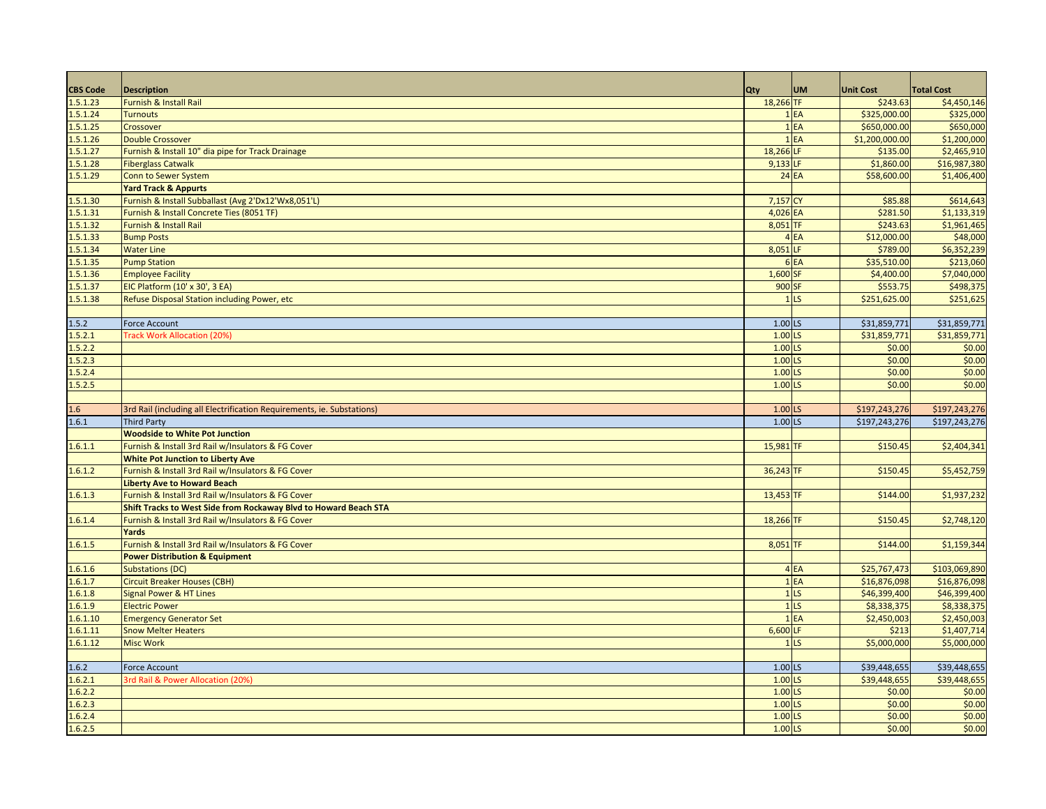| <b>CBS Code</b> | <b>Description</b>                                                     | <b>Qty</b>           | <b>UM</b>         | <b>Unit Cost</b> | <b>Total Cost</b> |
|-----------------|------------------------------------------------------------------------|----------------------|-------------------|------------------|-------------------|
| 1.5.1.23        | Furnish & Install Rail                                                 | 18,266 TF            |                   | \$243.63         | \$4,450,146       |
| 1.5.1.24        | <b>Turnouts</b>                                                        |                      | 1EA               | \$325,000.00     | \$325,000         |
| 1.5.1.25        | Crossover                                                              |                      | $1$ $EA$          | \$650,000.00     | \$650,000         |
| 1.5.1.26        | <b>Double Crossover</b>                                                |                      | 1EA               | \$1,200,000.00   | \$1,200,000       |
| 1.5.1.27        | Furnish & Install 10" dia pipe for Track Drainage                      | 18,266 LF            |                   | \$135.00         | \$2,465,910       |
| 1.5.1.28        | <b>Fiberglass Catwalk</b>                                              | 9,133 LF             |                   | \$1,860.00       | \$16,987,380      |
| 1.5.1.29        | Conn to Sewer System                                                   |                      | <b>24 EA</b>      | \$58,600.00      | \$1,406,400       |
|                 | <b>Yard Track &amp; Appurts</b>                                        |                      |                   |                  |                   |
| 1.5.1.30        | Furnish & Install Subballast (Avg 2'Dx12'Wx8,051'L)                    | 7,157 CY             |                   | \$85.88          | \$614,643         |
| 1.5.1.31        | Furnish & Install Concrete Ties (8051 TF)                              | 4,026 EA             |                   | \$281.50         | \$1,133,319       |
| 1.5.1.32        | Furnish & Install Rail                                                 | 8,051 TF             |                   | \$243.63         | \$1,961,465       |
| 1.5.1.33        | <b>Bump Posts</b>                                                      |                      | 4 EA              | \$12,000.00      | \$48,000          |
| 1.5.1.34        | <b>Water Line</b>                                                      | 8,051 LF             |                   | \$789.00         | \$6,352,239       |
| 1.5.1.35        | <b>Pump Station</b>                                                    |                      | 6EA               | \$35,510.00      | \$213,060         |
| 1.5.1.36        | <b>Employee Facility</b>                                               | 1,600 SF             |                   | \$4,400.00       | \$7,040,000       |
| 1.5.1.37        | EIC Platform (10' x 30', 3 EA)                                         | 900 SF               |                   | \$553.75         | \$498,375         |
| 1.5.1.38        | Refuse Disposal Station including Power, etc                           |                      | 1 <sub>LS</sub>   | \$251,625.00     | \$251,625         |
|                 |                                                                        |                      |                   |                  |                   |
| 1.5.2           | <b>Force Account</b>                                                   | 1.00 LS              |                   | \$31,859,771     | \$31,859,771      |
| 1.5.2.1         | <b>Track Work Allocation (20%)</b>                                     | $1.00$ <sub>LS</sub> |                   | \$31,859,771     | \$31,859,771      |
| 1.5.2.2         |                                                                        | $1.00$ <sub>LS</sub> |                   | \$0.00           | \$0.00            |
| 1.5.2.3         |                                                                        | $1.00$ <sub>LS</sub> |                   | \$0.00           | \$0.00            |
| 1.5.2.4         |                                                                        | 1.00 LS              |                   | \$0.00           | \$0.00            |
| 1.5.2.5         |                                                                        | 1.00 LS              |                   | \$0.00           | \$0.00            |
|                 |                                                                        |                      |                   |                  |                   |
| 1.6             | 3rd Rail (including all Electrification Requirements, ie. Substations) | $1.00$ LS            |                   | \$197,243,276    | \$197,243,276     |
| 1.6.1           | <b>Third Party</b>                                                     | $1.00$ LS            |                   | \$197,243,276    | \$197,243,276     |
|                 | <b>Woodside to White Pot Junction</b>                                  |                      |                   |                  |                   |
| 1.6.1.1         | Furnish & Install 3rd Rail w/Insulators & FG Cover                     | 15,981 TF            |                   | \$150.45         | \$2,404,341       |
|                 | <b>White Pot Junction to Liberty Ave</b>                               |                      |                   |                  |                   |
| 1.6.1.2         | Furnish & Install 3rd Rail w/Insulators & FG Cover                     | 36,243 TF            |                   | \$150.45         | \$5,452,759       |
|                 | <b>Liberty Ave to Howard Beach</b>                                     |                      |                   |                  |                   |
| 1.6.1.3         | Furnish & Install 3rd Rail w/Insulators & FG Cover                     | 13,453 TF            |                   | \$144.00         | \$1,937,232       |
|                 | Shift Tracks to West Side from Rockaway Blvd to Howard Beach STA       |                      |                   |                  |                   |
| 1.6.1.4         | Furnish & Install 3rd Rail w/Insulators & FG Cover                     | 18,266 TF            |                   | \$150.45         | \$2,748,120       |
|                 | Yards                                                                  |                      |                   |                  |                   |
| 1.6.1.5         | Furnish & Install 3rd Rail w/Insulators & FG Cover                     | 8,051 TF             |                   | \$144.00         | \$1,159,344       |
|                 | <b>Power Distribution &amp; Equipment</b>                              |                      |                   |                  |                   |
| 1.6.1.6         | <b>Substations (DC)</b>                                                |                      | 4 EA              | \$25,767,473     | \$103,069,890     |
| 1.6.1.7         | <b>Circuit Breaker Houses (CBH)</b>                                    |                      | 1EA               | \$16,876,098     | \$16,876,098      |
| 1.6.1.8         | Signal Power & HT Lines                                                |                      | $1$ <sub>LS</sub> | \$46,399,400     | \$46,399,400      |
| 1.6.1.9         | <b>Electric Power</b>                                                  |                      | 1 <sub>LS</sub>   | \$8,338,375      | \$8,338,375       |
| 1.6.1.10        | <b>Emergency Generator Set</b>                                         |                      | $1$ $EA$          | \$2,450,003      | \$2,450,003       |
| 1.6.1.11        | <b>Snow Melter Heaters</b>                                             | 6,600 LF             |                   | \$213            | \$1,407,714       |
| 1.6.1.12        | <b>Misc Work</b>                                                       |                      | 1 <sub>LS</sub>   | \$5,000,000      | \$5,000,000       |
|                 |                                                                        |                      |                   |                  |                   |
| 1.6.2           | <b>Force Account</b>                                                   | $1.00$ LS            |                   | \$39,448,655     | \$39,448,655      |
| 1.6.2.1         | 3rd Rail & Power Allocation (20%)                                      | 1.00 LS              |                   | \$39,448,655     | \$39,448,655      |
| 1.6.2.2         |                                                                        | $1.00$ <sub>LS</sub> |                   | \$0.00           | \$0.00            |
| 1.6.2.3         |                                                                        | 1.00 LS              |                   | \$0.00           | \$0.00            |
| 1.6.2.4         |                                                                        | 1.00 LS              |                   | \$0.00           | \$0.00            |
| 1.6.2.5         |                                                                        | $1.00$ <sub>LS</sub> |                   | \$0.00           | \$0.00            |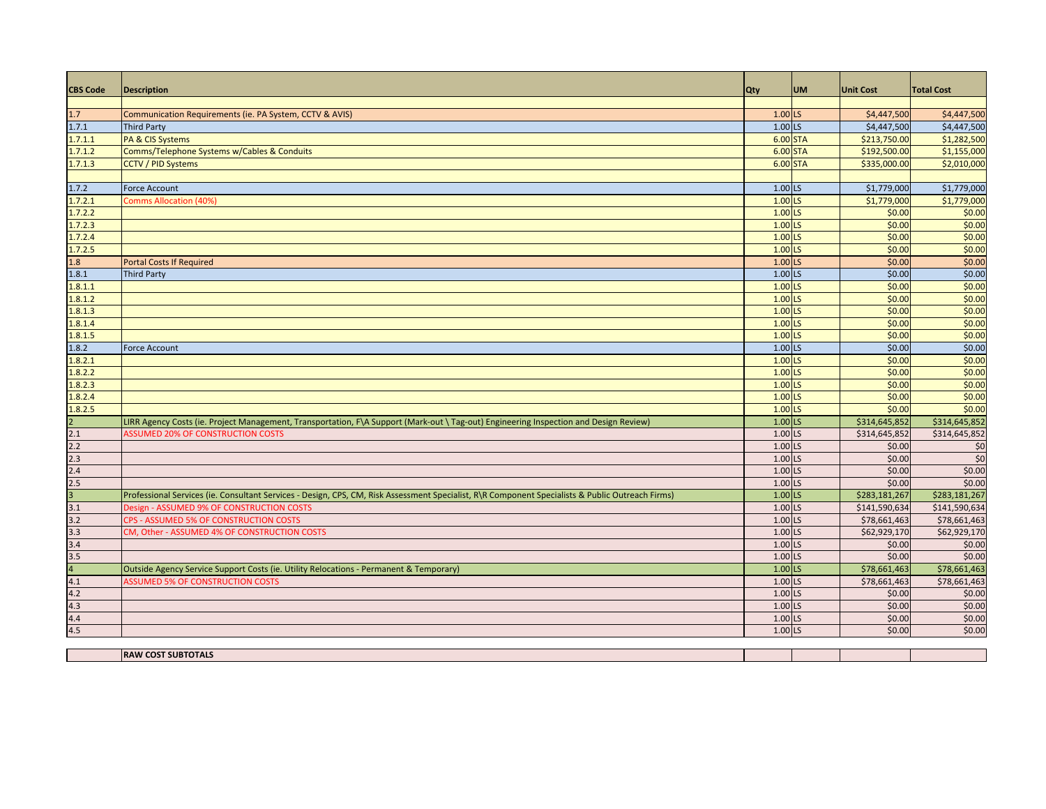| <b>CBS Code</b>                                                                                                                                                                                                                                                                                                                                                                                                | <b>Description</b>                                                                                                                               | Qty                  | <b>UM</b> | <b>Unit Cost</b> | <b>Total Cost</b> |
|----------------------------------------------------------------------------------------------------------------------------------------------------------------------------------------------------------------------------------------------------------------------------------------------------------------------------------------------------------------------------------------------------------------|--------------------------------------------------------------------------------------------------------------------------------------------------|----------------------|-----------|------------------|-------------------|
|                                                                                                                                                                                                                                                                                                                                                                                                                |                                                                                                                                                  |                      |           |                  |                   |
| 1.7                                                                                                                                                                                                                                                                                                                                                                                                            | Communication Requirements (ie. PA System, CCTV & AVIS)                                                                                          | $1.00$ LS            |           | \$4,447,500      | \$4,447,500       |
| 1.7.1                                                                                                                                                                                                                                                                                                                                                                                                          | <b>Third Party</b>                                                                                                                               | 1.00 LS              |           | \$4,447,500      | \$4,447,500       |
| 1.7.1.1                                                                                                                                                                                                                                                                                                                                                                                                        | PA & CIS Systems                                                                                                                                 | 6.00 STA             |           | \$213,750.00     | \$1,282,500       |
| 1.7.1.2                                                                                                                                                                                                                                                                                                                                                                                                        | Comms/Telephone Systems w/Cables & Conduits                                                                                                      | 6.00 STA             |           | \$192,500.00     | \$1,155,000       |
| 1.7.1.3                                                                                                                                                                                                                                                                                                                                                                                                        | <b>CCTV / PID Systems</b>                                                                                                                        | 6.00 STA             |           | \$335,000.00     | \$2,010,000       |
|                                                                                                                                                                                                                                                                                                                                                                                                                |                                                                                                                                                  |                      |           |                  |                   |
| 1.7.2                                                                                                                                                                                                                                                                                                                                                                                                          | <b>Force Account</b>                                                                                                                             | 1.00 LS              |           | \$1,779,000      | \$1,779,000       |
| 1.7.2.1                                                                                                                                                                                                                                                                                                                                                                                                        | <b>Comms Allocation (40%</b>                                                                                                                     | 1.00 LS              |           | \$1,779,000      | \$1,779,000       |
| 1.7.2.2                                                                                                                                                                                                                                                                                                                                                                                                        |                                                                                                                                                  | 1.00 LS              |           | \$0.00           | \$0.00            |
| 1.7.2.3                                                                                                                                                                                                                                                                                                                                                                                                        |                                                                                                                                                  | $1.00$ LS            |           | \$0.00           | \$0.00            |
| 1.7.2.4                                                                                                                                                                                                                                                                                                                                                                                                        |                                                                                                                                                  | $1.00$ LS            |           | \$0.00           | \$0.00            |
| 1.7.2.5                                                                                                                                                                                                                                                                                                                                                                                                        |                                                                                                                                                  | $1.00$ <sub>LS</sub> |           | \$0.00           | \$0.00            |
| 1.8                                                                                                                                                                                                                                                                                                                                                                                                            | <b>Portal Costs If Required</b>                                                                                                                  | $1.00$ LS            |           | \$0.00           | \$0.00            |
| 1.8.1                                                                                                                                                                                                                                                                                                                                                                                                          | <b>Third Party</b>                                                                                                                               | $1.00$ LS            |           | \$0.00           | \$0.00            |
| 1.8.1.1                                                                                                                                                                                                                                                                                                                                                                                                        |                                                                                                                                                  | $1.00$ LS            |           | \$0.00           | \$0.00            |
| 1.8.1.2                                                                                                                                                                                                                                                                                                                                                                                                        |                                                                                                                                                  | 1.00 LS              |           | \$0.00           | \$0.00            |
| 1.8.1.3                                                                                                                                                                                                                                                                                                                                                                                                        |                                                                                                                                                  | 1.00 LS              |           | \$0.00           | \$0.00            |
| 1.8.1.4                                                                                                                                                                                                                                                                                                                                                                                                        |                                                                                                                                                  | $1.00$ LS            |           | \$0.00           | \$0.00            |
| 1.8.1.5                                                                                                                                                                                                                                                                                                                                                                                                        |                                                                                                                                                  | $1.00$ <sub>LS</sub> |           | \$0.00           | \$0.00            |
| 1.8.2                                                                                                                                                                                                                                                                                                                                                                                                          | <b>Force Account</b>                                                                                                                             | 1.00 LS              |           | \$0.00           | \$0.00            |
| 1.8.2.1                                                                                                                                                                                                                                                                                                                                                                                                        |                                                                                                                                                  | 1.00 LS              |           | \$0.00           | \$0.00            |
| 1.8.2.2                                                                                                                                                                                                                                                                                                                                                                                                        |                                                                                                                                                  | $1.00$ LS            |           | \$0.00           | \$0.00            |
| 1.8.2.3                                                                                                                                                                                                                                                                                                                                                                                                        |                                                                                                                                                  | 1.00 LS              |           | \$0.00           | \$0.00            |
| 1.8.2.4                                                                                                                                                                                                                                                                                                                                                                                                        |                                                                                                                                                  | $1.00$ LS            |           | \$0.00           | \$0.00            |
| 1.8.2.5                                                                                                                                                                                                                                                                                                                                                                                                        |                                                                                                                                                  | 1.00 LS              |           | \$0.00           | \$0.00            |
|                                                                                                                                                                                                                                                                                                                                                                                                                | LIRR Agency Costs (ie. Project Management, Transportation, F\A Support (Mark-out \Tag-out) Engineering Inspection and Design Review)             | $1.00$ LS            |           | \$314,645,852    | \$314,645,852     |
|                                                                                                                                                                                                                                                                                                                                                                                                                | <b>ASSUMED 20% OF CONSTRUCTION COSTS</b>                                                                                                         | 1.00 LS              |           | \$314,645,852    | \$314,645,852     |
|                                                                                                                                                                                                                                                                                                                                                                                                                |                                                                                                                                                  | 1.00 LS              |           | \$0.00           | $\frac{1}{2}$     |
|                                                                                                                                                                                                                                                                                                                                                                                                                |                                                                                                                                                  | 1.00 LS              |           | \$0.00           | $\frac{1}{2}$     |
|                                                                                                                                                                                                                                                                                                                                                                                                                |                                                                                                                                                  | 1.00 LS              |           | \$0.00           | \$0.00            |
|                                                                                                                                                                                                                                                                                                                                                                                                                |                                                                                                                                                  | 1.00 LS              |           | \$0.00           | \$0.00            |
| $\begin{array}{@{}c@{\hspace{1em}}c@{\hspace{1em}}c@{\hspace{1em}}c@{\hspace{1em}}c@{\hspace{1em}}c@{\hspace{1em}}c@{\hspace{1em}}c@{\hspace{1em}}c@{\hspace{1em}}c@{\hspace{1em}}c@{\hspace{1em}}c@{\hspace{1em}}c@{\hspace{1em}}c@{\hspace{1em}}c@{\hspace{1em}}c@{\hspace{1em}}c@{\hspace{1em}}c@{\hspace{1em}}c@{\hspace{1em}}c@{\hspace{1em}}c@{\hspace{1em}}c@{\hspace{1em}}c@{\hspace{1em}}c@{\hspace{$ | Professional Services (ie. Consultant Services - Design, CPS, CM, Risk Assessment Specialist, R\R Component Specialists & Public Outreach Firms) | $1.00$ LS            |           | \$283,181,267    | \$283,181,267     |
|                                                                                                                                                                                                                                                                                                                                                                                                                | Design - ASSUMED 9% OF CONSTRUCTION COSTS                                                                                                        | 1.00 LS              |           | \$141,590,634    | \$141,590,634     |
| 3.2                                                                                                                                                                                                                                                                                                                                                                                                            | CPS - ASSUMED 5% OF CONSTRUCTION COSTS                                                                                                           | 1.00 LS              |           | \$78,661,463     | \$78,661,463      |
|                                                                                                                                                                                                                                                                                                                                                                                                                | CM, Other - ASSUMED 4% OF CONSTRUCTION COSTS                                                                                                     | 1.00 LS              |           | \$62,929,170     | \$62,929,170      |
|                                                                                                                                                                                                                                                                                                                                                                                                                |                                                                                                                                                  | 1.00 LS              |           | \$0.00           | \$0.00            |
|                                                                                                                                                                                                                                                                                                                                                                                                                |                                                                                                                                                  | 1.00 LS              |           | \$0.00           | \$0.00            |
|                                                                                                                                                                                                                                                                                                                                                                                                                | Outside Agency Service Support Costs (ie. Utility Relocations - Permanent & Temporary)                                                           | $1.00$ LS            |           | \$78,661,463     | \$78,661,463      |
| $\frac{3.3}{3.4}$ $\frac{3.5}{4}$ $\frac{4.1}{4.2}$                                                                                                                                                                                                                                                                                                                                                            | <b>ASSUMED 5% OF CONSTRUCTION COSTS</b>                                                                                                          | 1.00 LS              |           | \$78,661,463     | \$78,661,463      |
|                                                                                                                                                                                                                                                                                                                                                                                                                |                                                                                                                                                  | 1.00 LS              |           | \$0.00           | \$0.00            |
| 4.3                                                                                                                                                                                                                                                                                                                                                                                                            |                                                                                                                                                  | 1.00 LS              |           | \$0.00           | \$0.00            |
| 4.4                                                                                                                                                                                                                                                                                                                                                                                                            |                                                                                                                                                  | 1.00 LS              |           | \$0.00           | \$0.00            |
| 4.5                                                                                                                                                                                                                                                                                                                                                                                                            |                                                                                                                                                  | 1.00 LS              |           | \$0.00           | \$0.00            |
|                                                                                                                                                                                                                                                                                                                                                                                                                |                                                                                                                                                  |                      |           |                  |                   |
|                                                                                                                                                                                                                                                                                                                                                                                                                | <b>RAW COST SUBTOTALS</b>                                                                                                                        |                      |           |                  |                   |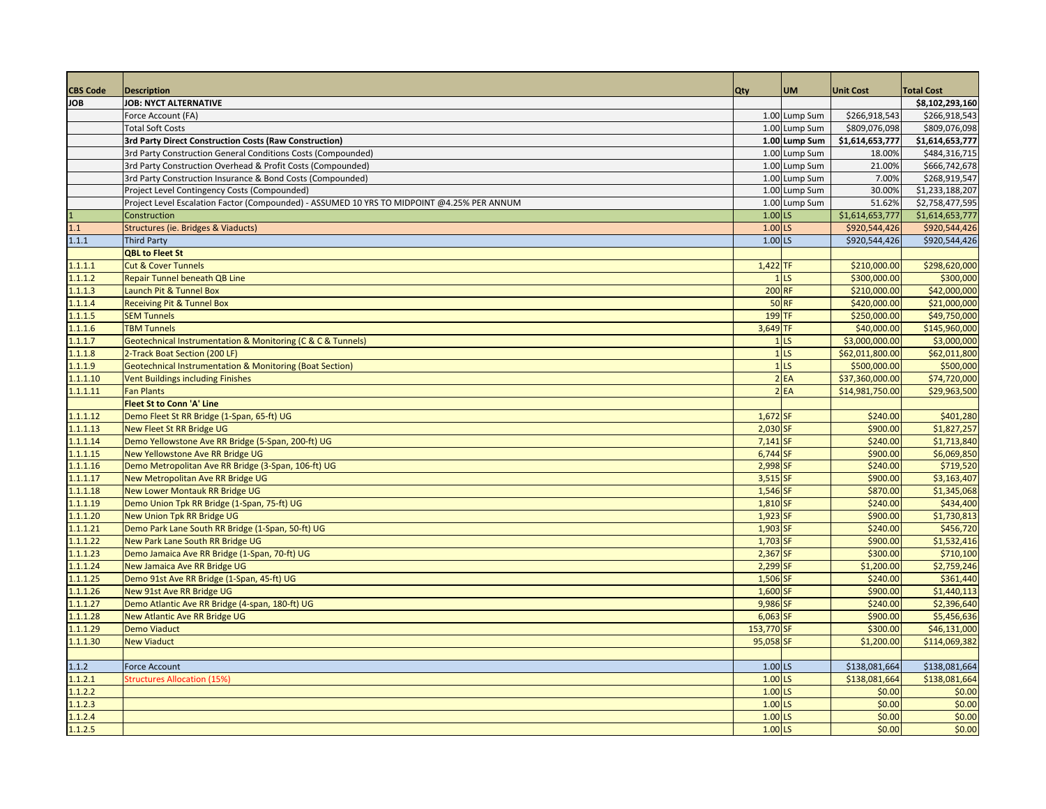| <b>CBS Code</b> | <b>Description</b>                                                                         | Qty                    | <b>UM</b>         | <b>Unit Cost</b> | <b>Total Cost</b> |
|-----------------|--------------------------------------------------------------------------------------------|------------------------|-------------------|------------------|-------------------|
| <b>JOB</b>      | JOB: NYCT ALTERNATIVE                                                                      |                        |                   |                  | \$8,102,293,160   |
|                 | Force Account (FA)                                                                         |                        | 1.00 Lump Sum     | \$266,918,543    | \$266,918,543     |
|                 | <b>Total Soft Costs</b>                                                                    |                        | 1.00 Lump Sum     | \$809,076,098    | \$809,076,098     |
|                 | 3rd Party Direct Construction Costs (Raw Construction)                                     |                        | 1.00 Lump Sum     | \$1,614,653,777  | \$1,614,653,777   |
|                 | 3rd Party Construction General Conditions Costs (Compounded)                               |                        | 1.00 Lump Sum     | 18.00%           | \$484,316,715     |
|                 | 3rd Party Construction Overhead & Profit Costs (Compounded)                                |                        | 1.00 Lump Sum     | 21.00%           | \$666,742,678     |
|                 | 3rd Party Construction Insurance & Bond Costs (Compounded)                                 |                        | 1.00 Lump Sum     | 7.00%            | \$268,919,547     |
|                 | Project Level Contingency Costs (Compounded)                                               |                        | 1.00 Lump Sum     | 30.00%           | \$1,233,188,207   |
|                 |                                                                                            |                        |                   | 51.62%           |                   |
|                 | Project Level Escalation Factor (Compounded) - ASSUMED 10 YRS TO MIDPOINT @4.25% PER ANNUM | $1.00$ LS              | 1.00 Lump Sum     |                  | \$2,758,477,595   |
| 1.1             | Construction                                                                               |                        |                   | \$1,614,653,777  | \$1,614,653,777   |
| 1.1.1           | Structures (ie. Bridges & Viaducts)                                                        | $1.00$ LS<br>$1.00$ LS |                   | \$920,544,426    | \$920,544,426     |
|                 | <b>Third Party</b>                                                                         |                        |                   | \$920,544,426    | \$920,544,426     |
|                 | <b>QBL to Fleet St</b>                                                                     |                        |                   |                  |                   |
| 1.1.1.1         | <b>Cut &amp; Cover Tunnels</b>                                                             | $1,422$ TF             |                   | \$210,000.00     | \$298,620,000     |
| 1.1.1.2         | <b>Repair Tunnel beneath QB Line</b>                                                       |                        | 1 <sub>LS</sub>   | \$300,000.00     | \$300,000         |
| 1.1.1.3         | Launch Pit & Tunnel Box                                                                    | <b>200 RF</b>          |                   | \$210,000.00     | \$42,000,000      |
| 1.1.1.4         | <b>Receiving Pit &amp; Tunnel Box</b>                                                      |                        | <b>50 RF</b>      | \$420,000.00     | \$21,000,000      |
| 1.1.1.5         | <b>SEM Tunnels</b>                                                                         | 199 TF                 |                   | \$250,000.00     | \$49,750,000      |
| 1.1.1.6         | <b>TBM Tunnels</b>                                                                         | 3,649 TF               |                   | \$40,000.00      | \$145,960,000     |
| 1.1.1.7         | Geotechnical Instrumentation & Monitoring (C & C & Tunnels)                                |                        | $1$ <sub>LS</sub> | \$3,000,000.00   | \$3,000,000       |
| 1.1.1.8         | 2-Track Boat Section (200 LF)                                                              |                        | $1$ <sub>LS</sub> | \$62,011,800.00  | \$62,011,800      |
| 1.1.1.9         | Geotechnical Instrumentation & Monitoring (Boat Section)                                   |                        | 1 <sup>1</sup>    | \$500,000.00     | \$500,000         |
| 1.1.1.10        | <b>Vent Buildings including Finishes</b>                                                   |                        | 2EA               | \$37,360,000.00  | \$74,720,000      |
| 1.1.1.11        | <b>Fan Plants</b>                                                                          |                        | 2EA               | \$14,981,750.00  | \$29,963,500      |
|                 | <b>Fleet St to Conn 'A' Line</b>                                                           |                        |                   |                  |                   |
| 1.1.1.12        | Demo Fleet St RR Bridge (1-Span, 65-ft) UG                                                 | 1,672 SF               |                   | \$240.00         | \$401,280         |
| 1.1.1.13        | <b>New Fleet St RR Bridge UG</b>                                                           | 2,030 SF               |                   | \$900.00         | \$1,827,257       |
| 1.1.1.14        | Demo Yellowstone Ave RR Bridge (5-Span, 200-ft) UG                                         | 7,141 SF               |                   | \$240.00         | \$1,713,840       |
| 1.1.1.15        | New Yellowstone Ave RR Bridge UG                                                           | 6,744 SF               |                   | \$900.00         | \$6,069,850       |
| 1.1.1.16        | Demo Metropolitan Ave RR Bridge (3-Span, 106-ft) UG                                        | 2,998 SF               |                   | \$240.00         | \$719,520         |
| 1.1.1.17        | New Metropolitan Ave RR Bridge UG                                                          | 3,515 SF               |                   | \$900.00         | \$3,163,407       |
| 1.1.1.18        | <b>New Lower Montauk RR Bridge UG</b>                                                      | 1,546 SF               |                   | \$870.00         | \$1,345,068       |
| 1.1.1.19        | Demo Union Tpk RR Bridge (1-Span, 75-ft) UG                                                | 1,810 SF               |                   | \$240.00         | \$434,400         |
| 1.1.1.20        | <b>New Union Tpk RR Bridge UG</b>                                                          | 1,923 SF               |                   | \$900.00         | \$1,730,813       |
| 1.1.1.21        | Demo Park Lane South RR Bridge (1-Span, 50-ft) UG                                          | 1,903 SF               |                   | \$240.00         | \$456,720         |
| 1.1.1.22        | New Park Lane South RR Bridge UG                                                           | 1,703 SF               |                   | \$900.00         | \$1,532,416       |
| 1.1.1.23        | Demo Jamaica Ave RR Bridge (1-Span, 70-ft) UG                                              | 2,367 SF               |                   | \$300.00         | \$710,100         |
| 1.1.1.24        | New Jamaica Ave RR Bridge UG                                                               | 2,299 SF               |                   | \$1,200.00       | \$2,759,246       |
| 1.1.1.25        | Demo 91st Ave RR Bridge (1-Span, 45-ft) UG                                                 | 1,506 SF               |                   | \$240.00         | \$361,440         |
| 1.1.1.26        | New 91st Ave RR Bridge UG                                                                  | 1,600 SF               |                   | \$900.00         | \$1,440,113       |
| 1.1.1.27        | Demo Atlantic Ave RR Bridge (4-span, 180-ft) UG                                            | 9,986 SF               |                   | \$240.00         | \$2,396,640       |
| 1.1.1.28        | <b>New Atlantic Ave RR Bridge UG</b>                                                       | 6,063 SF               |                   | \$900.00         | \$5,456,636       |
| 1.1.1.29        | <b>Demo Viaduct</b>                                                                        | 153,770 SF             |                   | \$300.00         | \$46,131,000      |
| 1.1.1.30        | <b>New Viaduct</b>                                                                         | 95,058 SF              |                   | \$1,200.00       | \$114,069,382     |
|                 |                                                                                            |                        |                   |                  |                   |
| 1.1.2           | <b>Force Account</b>                                                                       | 1.00 LS                |                   | \$138,081,664    | \$138,081,664     |
| 1.1.2.1         | <b>Structures Allocation (15%</b>                                                          | $1.00$ LS              |                   | \$138,081,664    | \$138,081,664     |
| 1.1.2.2         |                                                                                            | 1.00 LS                |                   | \$0.00           | \$0.00            |
| 1.1.2.3         |                                                                                            | $1.00$ LS              |                   | \$0.00           | \$0.00            |
| 1.1.2.4         |                                                                                            | $1.00$ LS              |                   | \$0.00           | \$0.00            |
| 1.1.2.5         |                                                                                            | $1.00$ LS              |                   | \$0.00           | \$0.00            |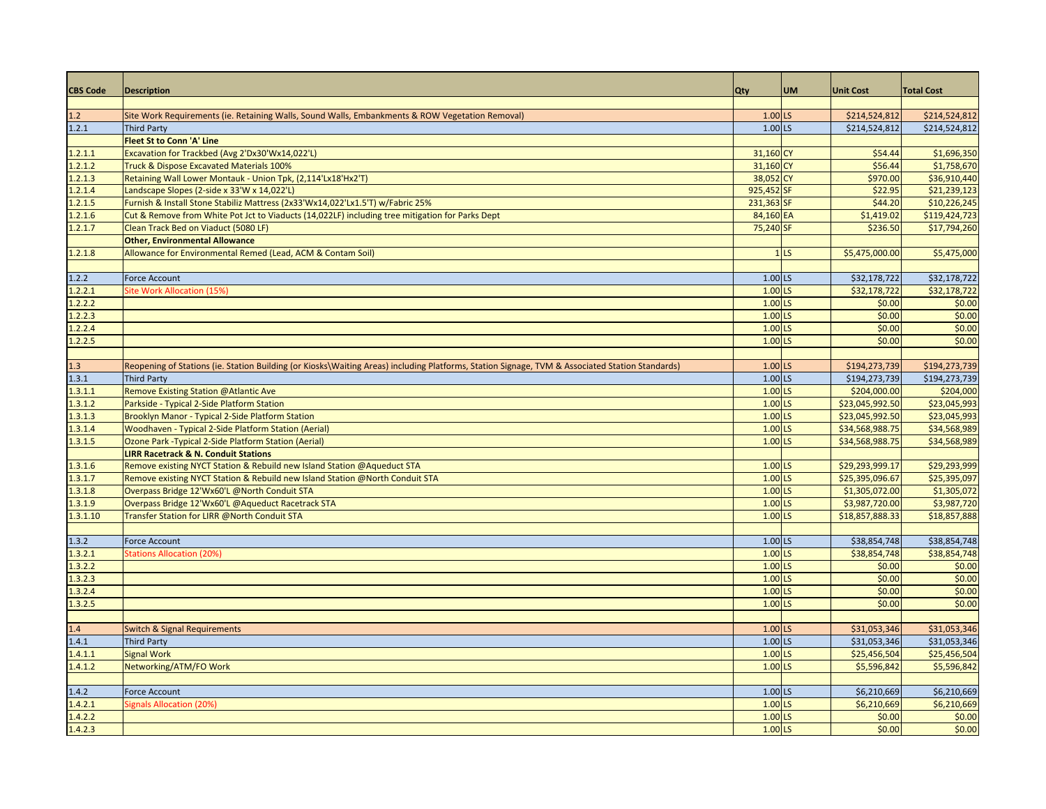| <b>CBS Code</b> | <b>Description</b>                                                                                                                              | Qty                  | <b>UM</b>       | <b>Unit Cost</b> | <b>Total Cost</b> |
|-----------------|-------------------------------------------------------------------------------------------------------------------------------------------------|----------------------|-----------------|------------------|-------------------|
|                 |                                                                                                                                                 |                      |                 |                  |                   |
| 1.2             | Site Work Requirements (ie. Retaining Walls, Sound Walls, Embankments & ROW Vegetation Removal)                                                 | $1.00$ LS            |                 | \$214,524,812    | \$214,524,812     |
| 1.2.1           | <b>Third Party</b>                                                                                                                              | $1.00$ LS            |                 | \$214,524,812    | \$214,524,812     |
|                 | <b>Fleet St to Conn 'A' Line</b>                                                                                                                |                      |                 |                  |                   |
| 1.2.1.1         | Excavation for Trackbed (Avg 2'Dx30'Wx14,022'L)                                                                                                 | 31,160 CY            |                 | \$54.44          | \$1,696,350       |
| 1.2.1.2         | Truck & Dispose Excavated Materials 100%                                                                                                        | 31,160 CY            |                 | \$56.44          | \$1,758,670       |
| 1.2.1.3         | Retaining Wall Lower Montauk - Union Tpk, (2,114'Lx18'Hx2'T)                                                                                    | 38,052 CY            |                 | \$970.00         | \$36,910,440      |
| 1.2.1.4         | Landscape Slopes (2-side x 33'W x 14,022'L)                                                                                                     | 925,452 SF           |                 | \$22.95          | \$21,239,123      |
| 1.2.1.5         | Furnish & Install Stone Stabiliz Mattress (2x33'Wx14,022'Lx1.5'T) w/Fabric 25%                                                                  | 231,363 SF           |                 | \$44.20          | \$10,226,245      |
| 1.2.1.6         | Cut & Remove from White Pot Jct to Viaducts (14,022LF) including tree mitigation for Parks Dept                                                 | 84,160 EA            |                 | \$1,419.02       | \$119,424,723     |
| 1.2.1.7         | Clean Track Bed on Viaduct (5080 LF)                                                                                                            | 75,240 SF            |                 | \$236.50         | \$17,794,260      |
|                 | <b>Other, Environmental Allowance</b>                                                                                                           |                      |                 |                  |                   |
| 1.2.1.8         | Allowance for Environmental Remed (Lead, ACM & Contam Soil)                                                                                     |                      | 1 <sub>LS</sub> | \$5,475,000.00   | \$5,475,000       |
|                 |                                                                                                                                                 |                      |                 |                  |                   |
| 1.2.2           | <b>Force Account</b>                                                                                                                            | 1.00 LS              |                 | \$32,178,722     | \$32,178,722      |
| 1.2.2.1         | Site Work Allocation (15%)                                                                                                                      | $1.00$ LS            |                 | \$32,178,722     | \$32,178,722      |
| 1.2.2.2         |                                                                                                                                                 | $1.00$ LS            |                 | \$0.00           | \$0.00            |
| 1.2.2.3         |                                                                                                                                                 | 1.00                 | LS              | \$0.00           | \$0.00            |
| 1.2.2.4         |                                                                                                                                                 | 1.00                 | LS              | \$0.00           | \$0.00            |
| 1.2.2.5         |                                                                                                                                                 | 1.00                 | LS              | \$0.00           | \$0.00            |
|                 |                                                                                                                                                 |                      |                 |                  |                   |
| 1.3             | Reopening of Stations (ie. Station Building (or Kiosks\Waiting Areas) including Platforms, Station Signage, TVM & Associated Station Standards) | $1.00$ LS            |                 | \$194,273,739    | \$194,273,739     |
| 1.3.1           | <b>Third Party</b>                                                                                                                              | $1.00$ LS            |                 | \$194,273,739    | \$194,273,739     |
| 1.3.1.1         | Remove Existing Station @Atlantic Ave                                                                                                           | $1.00$ <sub>LS</sub> |                 | \$204,000.00     | \$204,000         |
| 1.3.1.2         | Parkside - Typical 2-Side Platform Station                                                                                                      | $1.00$ LS            |                 | \$23,045,992.50  | \$23,045,993      |
| 1.3.1.3         | Brooklyn Manor - Typical 2-Side Platform Station                                                                                                | $1.00$ LS            |                 | \$23,045,992.50  | \$23,045,993      |
| 1.3.1.4         | Woodhaven - Typical 2-Side Platform Station (Aerial)                                                                                            | $1.00$ LS            |                 | \$34,568,988.75  | \$34,568,989      |
| 1.3.1.5         | Ozone Park - Typical 2-Side Platform Station (Aerial)                                                                                           | $1.00$ LS            |                 | \$34,568,988.75  | \$34,568,989      |
|                 | <b>LIRR Racetrack &amp; N. Conduit Stations</b>                                                                                                 |                      |                 |                  |                   |
| 1.3.1.6         | Remove existing NYCT Station & Rebuild new Island Station @Aqueduct STA                                                                         | $1.00$ LS            |                 | \$29,293,999.17  | \$29,293,999      |
| 1.3.1.7         | Remove existing NYCT Station & Rebuild new Island Station @North Conduit STA                                                                    | $1.00$ LS            |                 | \$25,395,096.67  | \$25,395,097      |
| 1.3.1.8         | Overpass Bridge 12'Wx60'L @North Conduit STA                                                                                                    | $1.00$ LS            |                 | \$1,305,072.00   | \$1,305,072       |
| 1.3.1.9         | Overpass Bridge 12'Wx60'L @Aqueduct Racetrack STA                                                                                               | $1.00$ LS            |                 | \$3,987,720.00   | \$3,987,720       |
| 1.3.1.10        | Transfer Station for LIRR @North Conduit STA                                                                                                    | $1.00$ LS            |                 | \$18,857,888.33  | \$18,857,888      |
|                 |                                                                                                                                                 |                      |                 |                  |                   |
| 1.3.2           | <b>Force Account</b>                                                                                                                            | 1.00 LS              |                 | \$38,854,748     | \$38,854,748      |
| 1.3.2.1         | <b>Stations Allocation (20%)</b>                                                                                                                | $1.00$ LS            |                 | \$38,854,748     | \$38,854,748      |
| 1.3.2.2         |                                                                                                                                                 | $1.00$ LS            |                 | \$0.00           | \$0.00            |
| 1.3.2.3         |                                                                                                                                                 | $1.00$ LS            |                 | \$0.00           | \$0.00            |
| 1.3.2.4         |                                                                                                                                                 | 1.00                 | LS              | \$0.00           | \$0.00            |
| 1.3.2.5         |                                                                                                                                                 | 1.00                 | LS              | \$0.00           | \$0.00            |
|                 |                                                                                                                                                 |                      |                 |                  |                   |
| 1.4             | <b>Switch &amp; Signal Requirements</b>                                                                                                         | $1.00$ LS            |                 | \$31,053,346     | \$31,053,346      |
| 1.4.1           | <b>Third Party</b>                                                                                                                              | $1.00$ LS            |                 | \$31,053,346     | \$31,053,346      |
| 1.4.1.1         | <b>Signal Work</b>                                                                                                                              | $1.00$ LS            |                 | \$25,456,504     | \$25,456,504      |
| 1.4.1.2         | Networking/ATM/FO Work                                                                                                                          | $1.00$ LS            |                 | \$5,596,842      | \$5,596,842       |
|                 |                                                                                                                                                 |                      |                 |                  |                   |
| 1.4.2           | <b>Force Account</b>                                                                                                                            | 1.00 LS              |                 | \$6,210,669      | \$6,210,669       |
| 1.4.2.1         | <b>Signals Allocation (20%)</b>                                                                                                                 | $1.00$ <sub>LS</sub> |                 | \$6,210,669      | \$6,210,669       |
| 1.4.2.2         |                                                                                                                                                 | $1.00$ LS            |                 | \$0.00           | \$0.00            |
| 1.4.2.3         |                                                                                                                                                 | $1.00$ LS            |                 | \$0.00           | \$0.00            |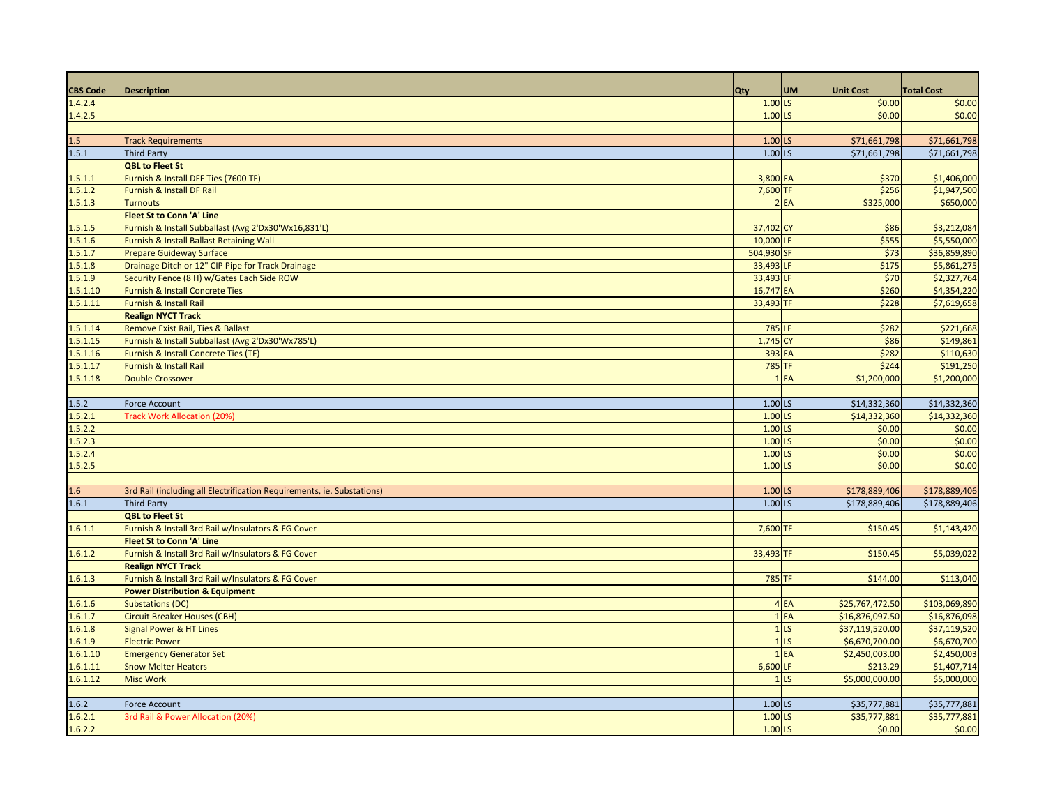| <b>CBS Code</b> | <b>Description</b>                                                     | Qty                  | <b>UM</b>       | <b>Unit Cost</b> | <b>Total Cost</b> |
|-----------------|------------------------------------------------------------------------|----------------------|-----------------|------------------|-------------------|
| 1.4.2.4         |                                                                        | $1.00$ LS            |                 | \$0.00           | \$0.00            |
| 1.4.2.5         |                                                                        | $1.00$ LS            |                 | \$0.00           | \$0.00            |
|                 |                                                                        |                      |                 |                  |                   |
| 1.5             | <b>Track Requirements</b>                                              | $1.00$ LS            |                 | \$71,661,798     | \$71,661,798      |
| 1.5.1           | <b>Third Party</b>                                                     | $1.00$ <sub>LS</sub> |                 | \$71,661,798     | \$71,661,798      |
|                 | <b>QBL to Fleet St</b>                                                 |                      |                 |                  |                   |
| 1.5.1.1         | Furnish & Install DFF Ties (7600 TF)                                   | 3,800 EA             |                 | \$370            | \$1,406,000       |
| 1.5.1.2         | Furnish & Install DF Rail                                              | 7,600 TF             |                 | \$256            | \$1,947,500       |
| 1.5.1.3         | <b>Turnouts</b>                                                        |                      | 2EA             | \$325,000        | \$650,000         |
|                 | <b>Fleet St to Conn 'A' Line</b>                                       |                      |                 |                  |                   |
| 1.5.1.5         | Furnish & Install Subballast (Avg 2'Dx30'Wx16,831'L)                   | 37,402 CY            |                 | \$86             | \$3,212,084       |
| 1.5.1.6         | Furnish & Install Ballast Retaining Wall                               | 10,000 LF            |                 | \$555            | \$5,550,000       |
| 1.5.1.7         | <b>Prepare Guideway Surface</b>                                        | 504,930 SF           |                 | \$73             | \$36,859,890      |
| 1.5.1.8         | Drainage Ditch or 12" CIP Pipe for Track Drainage                      | 33,493 LF            |                 | \$175            | \$5,861,275       |
| 1.5.1.9         | Security Fence (8'H) w/Gates Each Side ROW                             | 33,493 LF            |                 | \$70             | \$2,327,764       |
| 1.5.1.10        | Furnish & Install Concrete Ties                                        | 16,747 EA            |                 | \$260            | \$4,354,220       |
| 1.5.1.11        | Furnish & Install Rail                                                 | 33,493 TF            |                 | \$228            | \$7,619,658       |
|                 | <b>Realign NYCT Track</b>                                              |                      |                 |                  |                   |
| 1.5.1.14        | Remove Exist Rail, Ties & Ballast                                      | 785 LF               |                 | \$28             | \$221,668         |
| 1.5.1.15        | Furnish & Install Subballast (Avg 2'Dx30'Wx785'L)                      | 1,745 CY             |                 | \$86             | \$149,861         |
| 1.5.1.16        | Furnish & Install Concrete Ties (TF)                                   | 393 EA               |                 | \$282            | \$110,630         |
| 1.5.1.17        | Furnish & Install Rail                                                 | 785 TF               |                 | \$244            | \$191,250         |
| 1.5.1.18        | <b>Double Crossover</b>                                                |                      | 1EA             | \$1,200,000      | \$1,200,000       |
|                 |                                                                        |                      |                 |                  |                   |
| 1.5.2           | Force Account                                                          | $1.00$ LS            |                 | \$14,332,360     | \$14,332,360      |
| 1.5.2.1         | Track Work Allocation (20%)                                            | $1.00$ LS            |                 | \$14,332,360     | \$14,332,360      |
| 1.5.2.2         |                                                                        | $1.00$ LS            |                 | \$0.00           | \$0.00            |
| 1.5.2.3         |                                                                        | $1.00$ LS            |                 | \$0.00           | \$0.00            |
| 1.5.2.4         |                                                                        | $1.00$ LS            |                 | \$0.00           | \$0.00            |
| 1.5.2.5         |                                                                        | $1.00$ LS            |                 | \$0.00           | \$0.00            |
|                 |                                                                        |                      |                 |                  |                   |
| 1.6             | 3rd Rail (including all Electrification Requirements, ie. Substations) | $1.00$ LS            |                 | \$178,889,406    | \$178,889,406     |
| 1.6.1           | <b>Third Party</b>                                                     | $1.00$ LS            |                 | \$178,889,406    | \$178,889,406     |
|                 | <b>QBL to Fleet St</b>                                                 |                      |                 |                  |                   |
| 1.6.1.1         | Furnish & Install 3rd Rail w/Insulators & FG Cover                     | 7,600 TF             |                 | \$150.45         | \$1,143,420       |
|                 | <b>Fleet St to Conn 'A' Line</b>                                       |                      |                 |                  |                   |
| 1.6.1.2         | Furnish & Install 3rd Rail w/Insulators & FG Cover                     | 33,493 TF            |                 | \$150.45         | \$5,039,022       |
|                 | <b>Realign NYCT Track</b>                                              |                      |                 |                  |                   |
| 1.6.1.3         | Furnish & Install 3rd Rail w/Insulators & FG Cover                     | 785 TF               |                 | \$144.00         | \$113,040         |
|                 | <b>Power Distribution &amp; Equipment</b>                              |                      |                 |                  |                   |
| 1.6.1.6         | <b>Substations (DC)</b>                                                |                      | 4 EA            | \$25,767,472.50  | \$103,069,890     |
| 1.6.1.7         | <b>Circuit Breaker Houses (CBH)</b>                                    |                      | 1EA             | \$16,876,097.50  | \$16,876,098      |
| 1.6.1.8         | <b>Signal Power &amp; HT Lines</b>                                     |                      | 1 <sub>LS</sub> | \$37,119,520.00  | \$37,119,520      |
| 1.6.1.9         | <b>Electric Power</b>                                                  |                      | 1 <sub>LS</sub> | \$6,670,700.00   | \$6,670,700       |
| 1.6.1.10        | <b>Emergency Generator Set</b>                                         |                      | $1$ EA          | \$2,450,003.00   | \$2,450,003       |
| 1.6.1.11        | <b>Snow Melter Heaters</b>                                             | 6,600 LF             |                 | \$213.29         | \$1,407,714       |
| 1.6.1.12        | <b>Misc Work</b>                                                       |                      | 1 <sub>LS</sub> | \$5,000,000.00   | \$5,000,000       |
|                 |                                                                        |                      |                 |                  |                   |
| 1.6.2           | <b>Force Account</b>                                                   | 1.00 LS              |                 | \$35,777,881     | \$35,777,881      |
| 1.6.2.1         | 3rd Rail & Power Allocation (20%)                                      | $1.00$ LS            |                 | \$35,777,881     | \$35,777,881      |
|                 |                                                                        | $1.00$ LS            |                 | \$0.00           | \$0.00            |
| 1.6.2.2         |                                                                        |                      |                 |                  |                   |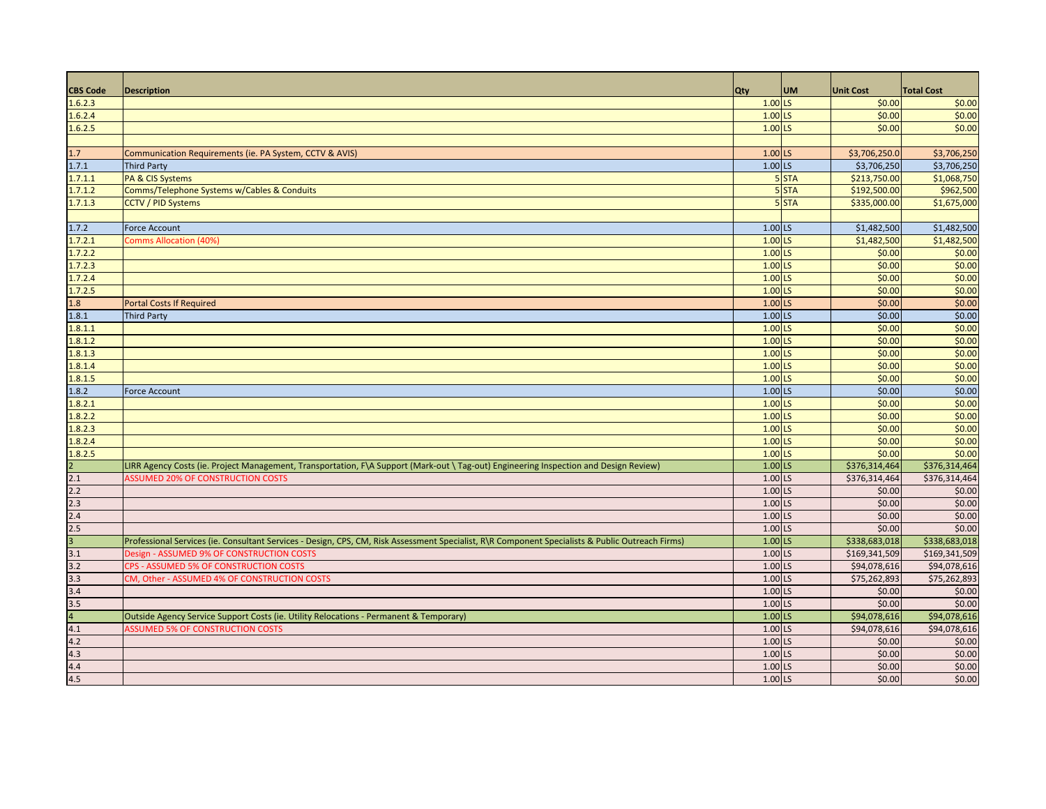| <b>CBS Code</b>       | <b>Description</b>                                                                                                                               | <b>Qty</b> | <b>UM</b> | <b>Unit Cost</b> | <b>Total Cost</b> |
|-----------------------|--------------------------------------------------------------------------------------------------------------------------------------------------|------------|-----------|------------------|-------------------|
| 1.6.2.3               |                                                                                                                                                  | $1.00$ LS  |           | \$0.00           | \$0.00            |
| 1.6.2.4               |                                                                                                                                                  | $1.00$ LS  |           | \$0.00           | \$0.00            |
| 1.6.2.5               |                                                                                                                                                  | $1.00$ LS  |           | \$0.00           | \$0.00            |
|                       |                                                                                                                                                  |            |           |                  |                   |
| 1.7                   | Communication Requirements (ie. PA System, CCTV & AVIS)                                                                                          | $1.00$ LS  |           | \$3,706,250.0    | \$3,706,250       |
| 1.7.1                 | <b>Third Party</b>                                                                                                                               | $1.00$ LS  |           | \$3,706,250      | \$3,706,250       |
| 1.7.1.1               | PA & CIS Systems                                                                                                                                 |            | 5 STA     | \$213,750.00     | \$1,068,750       |
| 1.7.1.2               | Comms/Telephone Systems w/Cables & Conduits                                                                                                      |            | 5 STA     | \$192,500.00     | \$962,500         |
| 1.7.1.3               | <b>CCTV / PID Systems</b>                                                                                                                        |            | 5 STA     | \$335,000.00     | \$1,675,000       |
|                       |                                                                                                                                                  |            |           |                  |                   |
| 1.7.2                 | <b>Force Account</b>                                                                                                                             | $1.00$ LS  |           | \$1,482,500      | \$1,482,500       |
| 1.7.2.1               | <b>Comms Allocation (40%</b>                                                                                                                     | $1.00$ LS  |           | \$1,482,500      | \$1,482,500       |
| 1.7.2.2               |                                                                                                                                                  | $1.00$ LS  |           | \$0.00           | \$0.00            |
| 1.7.2.3               |                                                                                                                                                  | $1.00$ LS  |           | \$0.00           | \$0.00            |
| 1.7.2.4               |                                                                                                                                                  | 1.00 LS    |           | \$0.00           | \$0.00            |
| 1.7.2.5               |                                                                                                                                                  | $1.00$ LS  |           | \$0.00           | \$0.00            |
| 1.8                   | <b>Portal Costs If Required</b>                                                                                                                  | $1.00$ LS  |           | \$0.00           | \$0.00            |
| 1.8.1                 | <b>Third Party</b>                                                                                                                               | $1.00$ LS  |           | \$0.00           | \$0.00            |
| 1.8.1.1               |                                                                                                                                                  | $1.00$ LS  |           | \$0.00           | \$0.00            |
| 1.8.1.2               |                                                                                                                                                  | $1.00$ LS  |           | \$0.00           | \$0.00            |
| 1.8.1.3               |                                                                                                                                                  | $1.00$ LS  |           | \$0.00           | \$0.00            |
| 1.8.1.4               |                                                                                                                                                  | $1.00$ LS  |           | \$0.00           | \$0.00            |
| 1.8.1.5               |                                                                                                                                                  | $1.00$ LS  |           | \$0.00           | \$0.00            |
| 1.8.2                 | <b>Force Account</b>                                                                                                                             | $1.00$ LS  |           | \$0.00           | \$0.00            |
| 1.8.2.1               |                                                                                                                                                  | $1.00$ LS  |           | \$0.00           | \$0.00            |
| 1.8.2.2               |                                                                                                                                                  | $1.00$ LS  |           | \$0.00           | \$0.00            |
| 1.8.2.3               |                                                                                                                                                  | $1.00$ LS  |           | \$0.00           | \$0.00            |
| 1.8.2.4               |                                                                                                                                                  | $1.00$ LS  |           | \$0.00           | \$0.00            |
| 1.8.2.5               |                                                                                                                                                  | $1.00$ LS  |           | \$0.00           | \$0.00            |
|                       | LIRR Agency Costs (ie. Project Management, Transportation, F\A Support (Mark-out \ Tag-out) Engineering Inspection and Design Review)            | $1.00$ LS  |           | \$376,314,464    | \$376,314,464     |
| 2.1                   | <b>SSUMED 20% OF CONSTRUCTION COSTS</b>                                                                                                          | 1.00 LS    |           | \$376,314,464    | \$376,314,464     |
| 2.2                   |                                                                                                                                                  | 1.00 LS    |           | \$0.00           | \$0.00            |
| 2.3                   |                                                                                                                                                  | 1.00 LS    |           | \$0.00           | \$0.00            |
| 2.4                   |                                                                                                                                                  | 1.00 LS    |           | \$0.00           | \$0.00            |
| 2.5                   |                                                                                                                                                  | 1.00 LS    |           | \$0.00           | \$0.00            |
| $\overline{a}$        | Professional Services (ie. Consultant Services - Design, CPS, CM, Risk Assessment Specialist, R\R Component Specialists & Public Outreach Firms) | $1.00$ LS  |           | \$338,683,018    | \$338,683,018     |
| 3.1                   | Design - ASSUMED 9% OF CONSTRUCTION COSTS                                                                                                        | 1.00 LS    |           | \$169,341,509    | \$169,341,509     |
| 3.2                   | CPS - ASSUMED 5% OF CONSTRUCTION COSTS                                                                                                           | 1.00 LS    |           | \$94,078,616     | \$94,078,616      |
| 3.3                   | CM, Other - ASSUMED 4% OF CONSTRUCTION COSTS                                                                                                     | 1.00 LS    |           | \$75,262,893     | \$75,262,893      |
| 3.4                   |                                                                                                                                                  | 1.00 LS    |           | \$0.00           | \$0.00            |
|                       |                                                                                                                                                  |            |           | \$0.00           | \$0.00            |
| 3.5<br>$\overline{4}$ |                                                                                                                                                  | 1.00 LS    |           |                  |                   |
|                       | Outside Agency Service Support Costs (ie. Utility Relocations - Permanent & Temporary)                                                           | $1.00$ LS  |           | \$94,078,616     | \$94,078,616      |
| 4.1                   | <b>SSUMED 5% OF CONSTRUCTION COSTS</b>                                                                                                           | 1.00 LS    |           | \$94,078,616     | \$94,078,616      |
| 4.2                   |                                                                                                                                                  | $1.00$ LS  |           | \$0.00           | \$0.00            |
| 4.3                   |                                                                                                                                                  | 1.00 LS    |           | \$0.00           | \$0.00            |
| 4.4                   |                                                                                                                                                  | 1.00 LS    |           | \$0.00           | \$0.00            |
| 4.5                   |                                                                                                                                                  | 1.00 LS    |           | \$0.00           | \$0.00            |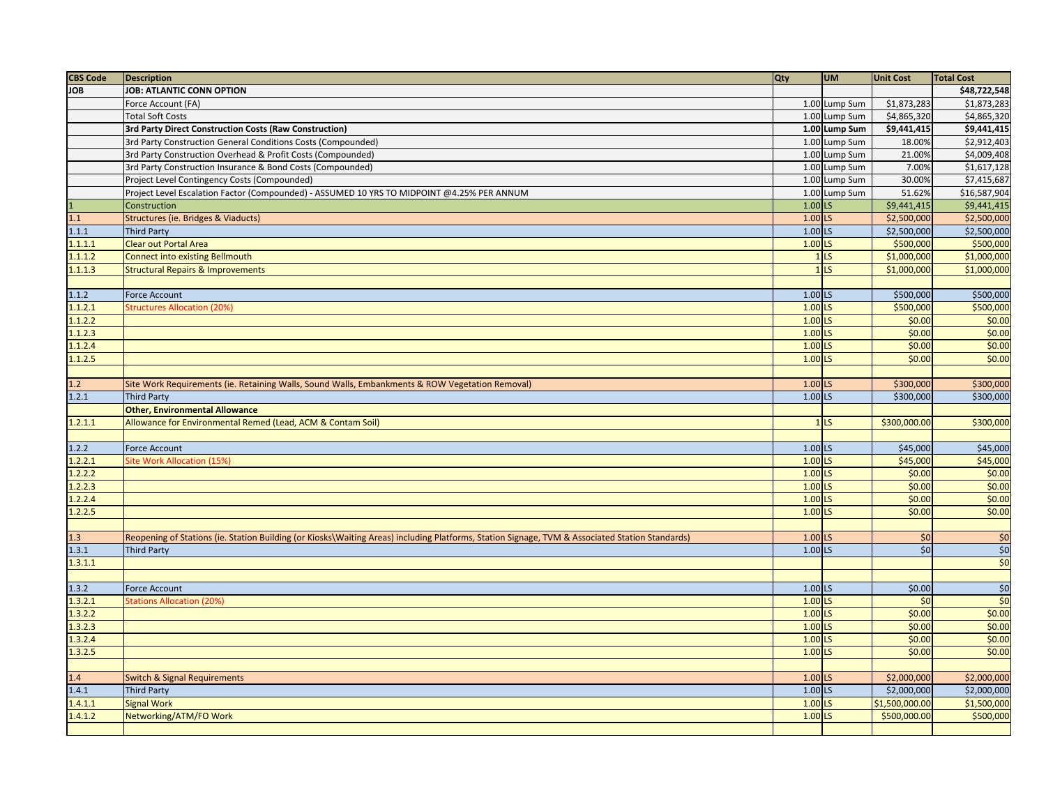| <b>CBS Code</b>  | <b>Description</b>                                                                                                                              | <b>Qty</b>           | <b>UM</b>         | <b>Unit Cost</b> | <b>Total Cost</b>            |
|------------------|-------------------------------------------------------------------------------------------------------------------------------------------------|----------------------|-------------------|------------------|------------------------------|
| <b>JOB</b>       | <b>JOB: ATLANTIC CONN OPTION</b>                                                                                                                |                      |                   |                  | \$48,722,548                 |
|                  | Force Account (FA)                                                                                                                              |                      | 1.00 Lump Sum     | \$1,873,283      | \$1,873,283                  |
|                  | <b>Total Soft Costs</b>                                                                                                                         |                      | 1.00 Lump Sum     | \$4,865,320      | $\overline{$4,865,320}$      |
|                  | 3rd Party Direct Construction Costs (Raw Construction)                                                                                          |                      | 1.00 Lump Sum     | \$9,441,415      | \$9,441,415                  |
|                  | 3rd Party Construction General Conditions Costs (Compounded)                                                                                    |                      | 1.00 Lump Sum     | 18.00%           | \$2,912,403                  |
|                  | 3rd Party Construction Overhead & Profit Costs (Compounded)                                                                                     |                      | 1.00 Lump Sum     | 21.00%           | \$4,009,408                  |
|                  | 3rd Party Construction Insurance & Bond Costs (Compounded)                                                                                      |                      | 1.00 Lump Sum     | 7.00%            | \$1,617,128                  |
|                  | Project Level Contingency Costs (Compounded)                                                                                                    |                      | 1.00 Lump Sum     | 30.00%           | \$7,415,687                  |
|                  | Project Level Escalation Factor (Compounded) - ASSUMED 10 YRS TO MIDPOINT @4.25% PER ANNUM                                                      |                      | 1.00 Lump Sum     | 51.62%           | \$16,587,904                 |
|                  | Construction                                                                                                                                    | $1.00$ LS            |                   | \$9,441,415      | \$9,441,415                  |
| $\overline{1.1}$ | Structures (ie. Bridges & Viaducts)                                                                                                             | $1.00$ <sub>LS</sub> |                   | \$2,500,000      | \$2,500,000                  |
| 1.1.1            | <b>Third Party</b>                                                                                                                              | $1.00$ LS            |                   | \$2,500,000      | \$2,500,000                  |
| 1.1.1.1          | <b>Clear out Portal Area</b>                                                                                                                    | $1.00$ LS            |                   | \$500,000        | \$500,000                    |
| 1.1.1.2          | <b>Connect into existing Bellmouth</b>                                                                                                          |                      | 1 <sub>LS</sub>   | \$1,000,000      | \$1,000,000                  |
| 1.1.1.3          | <b>Structural Repairs &amp; Improvements</b>                                                                                                    |                      | 1 <sub>LS</sub>   | \$1,000,000      | \$1,000,000                  |
|                  |                                                                                                                                                 |                      |                   |                  |                              |
| 1.1.2            | Force Account                                                                                                                                   | $1.00$ LS            |                   | \$500,000        | \$500,000                    |
| 1.1.2.1          | <b>Structures Allocation (20%)</b>                                                                                                              | $1.00$ LS            |                   | \$500,000        | \$500,000                    |
| 1.1.2.2          |                                                                                                                                                 | $1.00$ LS            |                   | \$0.00           | \$0.00                       |
| 1.1.2.3          |                                                                                                                                                 | $1.00$ LS            |                   | \$0.00           | \$0.00                       |
| 1.1.2.4          |                                                                                                                                                 | $1.00$ LS            |                   | \$0.00           | \$0.00                       |
| 1.1.2.5          |                                                                                                                                                 | $1.00$ LS            |                   | \$0.00           | \$0.00                       |
|                  |                                                                                                                                                 |                      |                   |                  |                              |
| 1.2              | Site Work Requirements (ie. Retaining Walls, Sound Walls, Embankments & ROW Vegetation Removal)                                                 | $1.00$ LS            |                   | \$300,000        | \$300,000                    |
| 1.2.1            | <b>Third Party</b>                                                                                                                              | $1.00$ <sub>LS</sub> |                   | \$300,000        | \$300,000                    |
|                  | <b>Other, Environmental Allowance</b>                                                                                                           |                      |                   |                  |                              |
| 1.2.1.1          | Allowance for Environmental Remed (Lead, ACM & Contam Soil)                                                                                     |                      | $1$ <sub>LS</sub> | \$300,000.00     | \$300,000                    |
|                  |                                                                                                                                                 |                      |                   |                  |                              |
| 1.2.2            | Force Account                                                                                                                                   | $1.00$ LS            |                   | \$45,000         | \$45,000                     |
| 1.2.2.1          | Site Work Allocation (15%)                                                                                                                      | $1.00$ LS            |                   | \$45,000         | \$45,000                     |
| 1.2.2.2          |                                                                                                                                                 | $1.00$ LS            |                   | \$0.00           | \$0.00                       |
| 1.2.2.3          |                                                                                                                                                 | $1.00$ LS            |                   | \$0.00           | \$0.00                       |
| 1.2.2.4          |                                                                                                                                                 | $1.00$ LS            |                   | \$0.00           | \$0.00                       |
| 1.2.2.5          |                                                                                                                                                 | $1.00$ LS            |                   | \$0.00           | \$0.00                       |
|                  |                                                                                                                                                 |                      |                   |                  |                              |
| 1.3              | Reopening of Stations (ie. Station Building (or Kiosks\Waiting Areas) including Platforms, Station Signage, TVM & Associated Station Standards) | $1.00$ LS            |                   | \$0              | \$0                          |
| 1.3.1            | <b>Third Party</b>                                                                                                                              | $1.00$ LS            |                   | \$0              | \$0                          |
| 1.3.1.1          |                                                                                                                                                 |                      |                   |                  | \$0                          |
|                  |                                                                                                                                                 |                      |                   |                  |                              |
| 1.3.2            | <b>Force Account</b>                                                                                                                            | $1.00$ LS            |                   | \$0.00           | \$0                          |
| 1.3.2.1          | <b>Stations Allocation (20%)</b>                                                                                                                | $1.00$ LS            |                   | \$0              | $\overline{\phantom{0}}$ \$0 |
| 1.3.2.2          |                                                                                                                                                 | $1.00$ LS            |                   | \$0.00           | \$0.00                       |
| 1.3.2.3          |                                                                                                                                                 | $1.00$ LS            |                   | \$0.00           | \$0.00                       |
| 1.3.2.4          |                                                                                                                                                 | $1.00$ LS            |                   | \$0.00           | \$0.00                       |
| 1.3.2.5          |                                                                                                                                                 | $1.00$ LS            |                   | \$0.00           | \$0.00                       |
|                  |                                                                                                                                                 |                      |                   |                  |                              |
| 1.4              | <b>Switch &amp; Signal Requirements</b>                                                                                                         | $1.00$ LS            |                   | \$2,000,000      | \$2,000,000                  |
| 1.4.1            | <b>Third Party</b>                                                                                                                              | $1.00$ LS            |                   | \$2,000,000      | \$2,000,000                  |
| 1.4.1.1          | <b>Signal Work</b>                                                                                                                              | $1.00$ LS            |                   | \$1,500,000.00   | \$1,500,000                  |
| 1.4.1.2          | Networking/ATM/FO Work                                                                                                                          | $1.00$ LS            |                   | \$500,000.00     | \$500,000                    |
|                  |                                                                                                                                                 |                      |                   |                  |                              |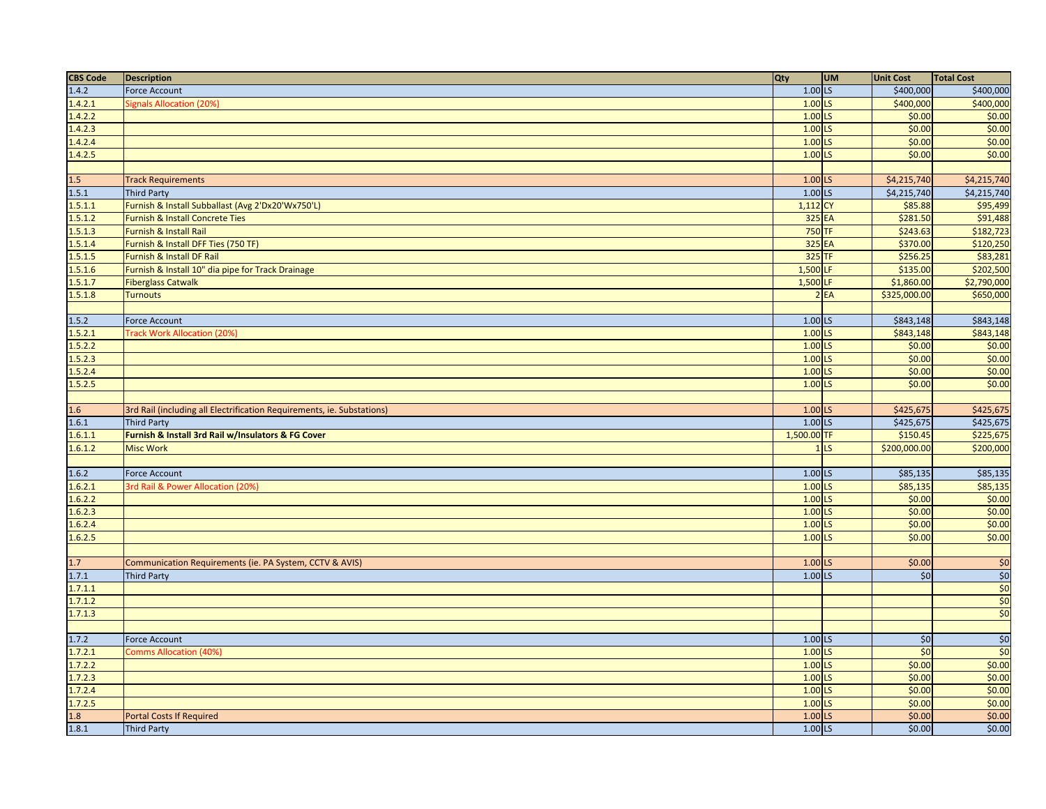| <b>CBS Code</b> | <b>Description</b>                                                     | Qty                  | <b>UM</b>       | <b>Unit Cost</b> | <b>Total Cost</b>            |
|-----------------|------------------------------------------------------------------------|----------------------|-----------------|------------------|------------------------------|
| 1.4.2           | <b>Force Account</b>                                                   | $1.00$ LS            |                 | \$400,000        | \$400,000                    |
| 1.4.2.1         | Signals Allocation (20%)                                               | $1.00$ LS            |                 | \$400,000        | \$400,000                    |
| 1.4.2.2         |                                                                        | $1.00$ LS            |                 | \$0.00           | \$0.00                       |
| 1.4.2.3         |                                                                        | $1.00$ LS            |                 | \$0.00           | \$0.00                       |
| 1.4.2.4         |                                                                        | $1.00$ LS            |                 | \$0.00           | \$0.00                       |
| 1.4.2.5         |                                                                        | $1.00$ LS            |                 | \$0.00           | \$0.00                       |
|                 |                                                                        |                      |                 |                  |                              |
| 1.5             | <b>Track Requirements</b>                                              | $1.00$ LS            |                 | \$4,215,740      | \$4,215,740                  |
| 1.5.1           | <b>Third Party</b>                                                     | $1.00$ <sub>LS</sub> |                 | \$4,215,740      | \$4,215,740                  |
| 1.5.1.1         | Furnish & Install Subballast (Avg 2'Dx20'Wx750'L)                      | 1,112 CY             |                 | \$85.88          | \$95,499                     |
| 1.5.1.2         | Furnish & Install Concrete Ties                                        | 325 EA               |                 | \$281.50         | \$91,488                     |
| 1.5.1.3         | Furnish & Install Rail                                                 | 750 TF               |                 | \$243.63         | \$182,723                    |
| 1.5.1.4         | Furnish & Install DFF Ties (750 TF)                                    | 325 EA               |                 | \$370.00         | \$120,250                    |
| 1.5.1.5         | Furnish & Install DF Rail                                              | $325$ TF             |                 | \$256.25         | \$83,281                     |
| 1.5.1.6         | Furnish & Install 10" dia pipe for Track Drainage                      | $1,500$ LF           |                 | \$135.00         | \$202,500                    |
| 1.5.1.7         | <b>Fiberglass Catwalk</b>                                              | 1,500 LF             |                 | \$1,860.00       | \$2,790,000                  |
| 1.5.1.8         | <b>Turnouts</b>                                                        |                      | 2EA             | \$325,000.00     | \$650,000                    |
|                 |                                                                        |                      |                 |                  |                              |
| 1.5.2           | <b>Force Account</b>                                                   | $1.00$ LS            |                 | \$843,148        | \$843,148                    |
| 1.5.2.1         | <b>Track Work Allocation (20%</b>                                      | $1.00$ LS            |                 | \$843,148        | \$843,148                    |
| 1.5.2.2         |                                                                        | $1.00$ LS            |                 | \$0.00           | \$0.00                       |
| 1.5.2.3         |                                                                        | $1.00$ LS            |                 | \$0.00           | \$0.00                       |
| 1.5.2.4         |                                                                        | $1.00$ LS            |                 | \$0.00           | \$0.00                       |
| 1.5.2.5         |                                                                        | $1.00$ LS            |                 | \$0.00           | \$0.00                       |
|                 |                                                                        |                      |                 |                  |                              |
| 1.6             | 3rd Rail (including all Electrification Requirements, ie. Substations) | 1.00 LS              |                 | \$425,675        | \$425,675                    |
| 1.6.1           | <b>Third Party</b>                                                     | $1.00$ <sub>LS</sub> |                 | \$425,675        | \$425,675                    |
| 1.6.1.1         | Furnish & Install 3rd Rail w/Insulators & FG Cover                     | 1,500.00 TF          |                 | \$150.45         | \$225,675                    |
| 1.6.1.2         | <b>Misc Work</b>                                                       |                      | 1 <sub>LS</sub> | \$200,000.00     | \$200,000                    |
|                 |                                                                        |                      |                 |                  |                              |
| 1.6.2           | <b>Force Account</b>                                                   | $1.00$ LS            |                 | \$85,135         | \$85,135                     |
| 1.6.2.1         | 3rd Rail & Power Allocation (20%)                                      | $1.00$ <sub>LS</sub> |                 | \$85,135         | \$85,135                     |
| 1.6.2.2         |                                                                        | $1.00$ LS            |                 | \$0.00           | \$0.00                       |
| 1.6.2.3         |                                                                        | $1.00$ LS            |                 | \$0.00           | \$0.00                       |
| 1.6.2.4         |                                                                        | $1.00$ LS            |                 | \$0.00           | \$0.00                       |
| 1.6.2.5         |                                                                        | $1.00$ LS            |                 | \$0.00           | \$0.00                       |
|                 |                                                                        |                      |                 |                  |                              |
| 1.7             | Communication Requirements (ie. PA System, CCTV & AVIS)                | $1.00$ LS            |                 | \$0.00           | \$0                          |
| 1.7.1           | <b>Third Party</b>                                                     | $1.00$ LS            |                 | \$0              | $\overline{\phantom{0}}$ \$0 |
| 1.7.1.1         |                                                                        |                      |                 |                  | \$0                          |
| 1.7.1.2         |                                                                        |                      |                 |                  | \$0                          |
| 1.7.1.3         |                                                                        |                      |                 |                  | \$0                          |
|                 |                                                                        |                      |                 |                  |                              |
| 1.7.2           | Force Account                                                          | $1.00$ LS            |                 | \$0              | $\overline{\$0}$             |
| 1.7.2.1         | <b>Comms Allocation (40%)</b>                                          | $1.00$ LS            |                 | \$0              | \$0                          |
| 1.7.2.2         |                                                                        | $1.00$ LS            |                 | \$0.00           | \$0.00                       |
| 1.7.2.3         |                                                                        | $1.00$ LS            |                 | \$0.00           | \$0.00                       |
| 1.7.2.4         |                                                                        | $1.00$ LS            |                 | \$0.00           | \$0.00                       |
| 1.7.2.5         |                                                                        | $1.00$ LS            |                 | \$0.00           | \$0.00                       |
| 1.8             | <b>Portal Costs If Required</b>                                        | $1.00$ LS            |                 | \$0.00           | \$0.00                       |
| 1.8.1           | Third Party                                                            | $1.00$ LS            |                 | \$0.00           | \$0.00                       |